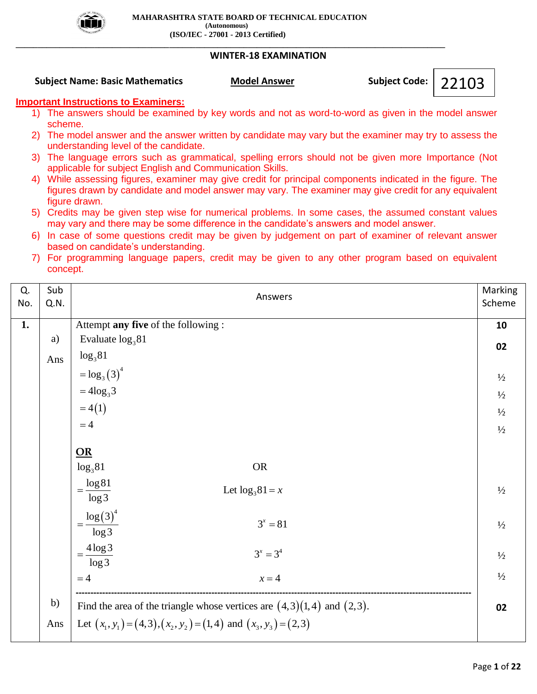

## **WINTER-18 EXAMINATION**

**Subject Name: Basic Mathematics Model Answer Subject Code: Subject Code:** 

22103

# **Important Instructions to Examiners:**

- 1) The answers should be examined by key words and not as word-to-word as given in the model answer scheme.
- 2) The model answer and the answer written by candidate may vary but the examiner may try to assess the understanding level of the candidate.
- 3) The language errors such as grammatical, spelling errors should not be given more Importance (Not applicable for subject English and Communication Skills.
- 4) While assessing figures, examiner may give credit for principal components indicated in the figure. The figures drawn by candidate and model answer may vary. The examiner may give credit for any equivalent figure drawn.
- 5) Credits may be given step wise for numerical problems. In some cases, the assumed constant values may vary and there may be some difference in the candidate's answers and model answer.
- 6) In case of some questions credit may be given by judgement on part of examiner of relevant answer based on candidate's understanding.
- 7) For programming language papers, credit may be given to any other program based on equivalent concept.

| Q.<br>No. | Sub<br>Q.N. | Answers                                                                     | Marking<br>Scheme |
|-----------|-------------|-----------------------------------------------------------------------------|-------------------|
| 1.        |             | Attempt any five of the following :                                         | 10                |
|           | a)          | Evaluate $log_3 81$                                                         | 02                |
|           | Ans         | $log_3 81$                                                                  |                   |
|           |             | $=$ $\log_3(3)^4$                                                           | $\frac{1}{2}$     |
|           |             | $=4\log_3 3$                                                                | $\frac{1}{2}$     |
|           |             | $=4(1)$                                                                     | $\frac{1}{2}$     |
|           |             | $=4$                                                                        | $\frac{1}{2}$     |
|           |             |                                                                             |                   |
|           |             | $\underline{OR}$                                                            |                   |
|           |             | $log_3 81$<br><b>OR</b>                                                     |                   |
|           |             | $=\frac{\log 81}{\log 3}$<br>Let $\log_3 81 = x$                            | $\frac{1}{2}$     |
|           |             | $=\frac{\log (3)^4}{\log 3}$<br>$3^x = 81$                                  | $\frac{1}{2}$     |
|           |             | $=\frac{4 \log 3}{\log 3}$<br>$3^x = 3^4$                                   | $\frac{1}{2}$     |
|           |             | $=4$<br>$x = 4$                                                             | $\frac{1}{2}$     |
|           | b)          | Find the area of the triangle whose vertices are $(4,3)(1,4)$ and $(2,3)$ . | 02                |
|           | Ans         | Let $(x_1, y_1) = (4, 3), (x_2, y_2) = (1, 4)$ and $(x_3, y_3) = (2, 3)$    |                   |
|           |             |                                                                             |                   |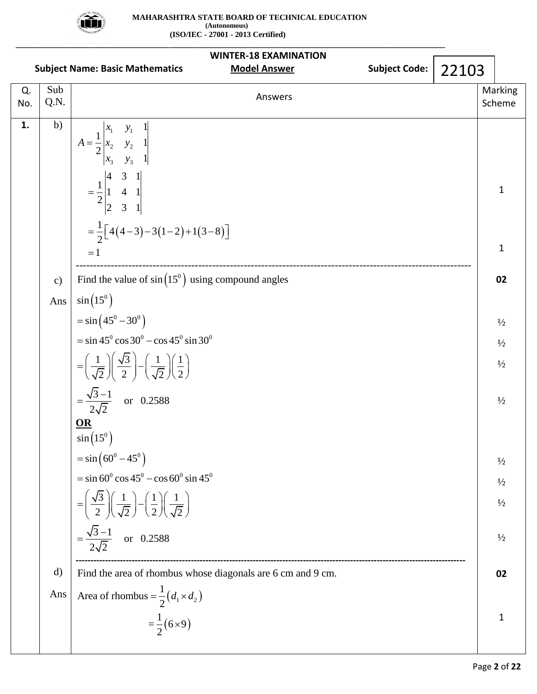

|           |             | <b>WINTER-18 EXAMINATION</b>                                                                                                                                                                                               |                   |
|-----------|-------------|----------------------------------------------------------------------------------------------------------------------------------------------------------------------------------------------------------------------------|-------------------|
|           |             | <b>Subject Code:</b><br><b>Model Answer</b><br><b>Subject Name: Basic Mathematics</b><br>22103                                                                                                                             |                   |
| Q.<br>No. | Sub<br>Q.N. | Answers                                                                                                                                                                                                                    | Marking<br>Scheme |
| 1.        | b)          | $A = \frac{1}{2} \begin{vmatrix} x_1 & y_1 & 1 \\ x_2 & y_2 & 1 \\ x_3 & y_3 & 1 \end{vmatrix}$<br>$=\frac{1}{2}\begin{vmatrix} 4 & 3 & 1 \\ 1 & 4 & 1 \\ 2 & 3 & 1 \end{vmatrix}$<br>$=\frac{1}{2}[4(4-3)-3(1-2)+1(3-8)]$ | $\mathbf{1}$      |
|           |             | $=1$                                                                                                                                                                                                                       | $\mathbf{1}$      |
|           | c)          | Find the value of $sin(15^{\circ})$ using compound angles                                                                                                                                                                  | 02                |
|           | Ans         | $\sin(15^\circ)$                                                                                                                                                                                                           |                   |
|           |             | $= \sin(45^{\circ} - 30^{\circ})$                                                                                                                                                                                          | $\frac{1}{2}$     |
|           |             | $=$ sin 45 <sup>0</sup> cos 30 <sup>0</sup> – cos 45 <sup>0</sup> sin 30 <sup>0</sup>                                                                                                                                      | $\frac{1}{2}$     |
|           |             | $=\left(\frac{1}{\sqrt{2}}\right)\left(\frac{\sqrt{3}}{2}\right)-\left(\frac{1}{\sqrt{2}}\right)\left(\frac{1}{2}\right)$                                                                                                  | $\frac{1}{2}$     |
|           |             | $=\frac{\sqrt{3}-1}{2\sqrt{2}}$ or 0.2588                                                                                                                                                                                  | $\frac{1}{2}$     |
|           |             | $\underline{\mathbf{OR}}$<br>$\sin\left(15^\circ\right)$                                                                                                                                                                   |                   |
|           |             | $= \sin(60^0 - 45^0)$                                                                                                                                                                                                      | $\frac{1}{2}$     |
|           |             | $=$ sin 60 <sup>°</sup> cos 45 <sup>°</sup> – cos 60 <sup>°</sup> sin 45 <sup>°</sup>                                                                                                                                      | $\frac{1}{2}$     |
|           |             | $=\left(\frac{\sqrt{3}}{2}\right)\left(\frac{1}{\sqrt{2}}\right)-\left(\frac{1}{2}\right)\left(\frac{1}{\sqrt{2}}\right)$                                                                                                  | $\frac{1}{2}$     |
|           |             | $=\frac{\sqrt{3}-1}{2\sqrt{2}}$ or 0.2588                                                                                                                                                                                  | $\frac{1}{2}$     |
|           | d)          | Find the area of rhombus whose diagonals are 6 cm and 9 cm.                                                                                                                                                                | 02                |
|           | Ans         | Area of rhombus = $\frac{1}{2}(d_1 \times d_2)$                                                                                                                                                                            |                   |
|           |             | $=\frac{1}{2}(6\times9)$                                                                                                                                                                                                   | $\mathbf{1}$      |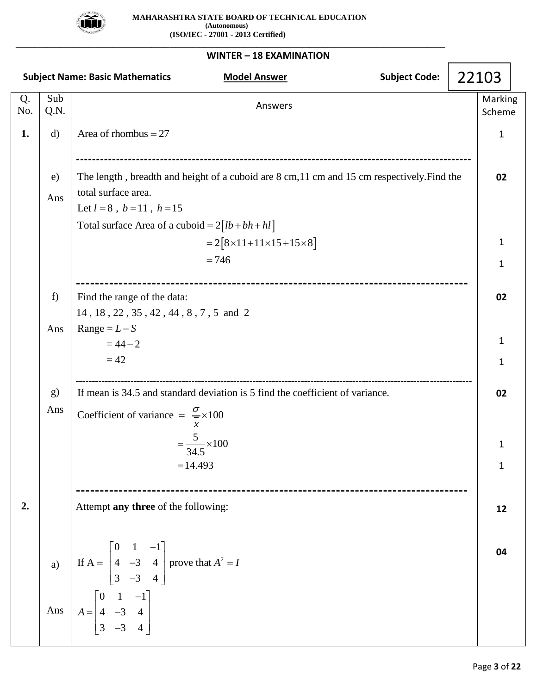

**\_\_\_\_\_\_\_\_\_\_\_\_\_\_\_\_\_\_\_\_\_\_\_\_\_\_\_\_\_\_\_\_\_\_\_\_\_\_\_\_\_\_\_\_\_\_\_\_\_\_\_\_\_\_\_\_\_\_\_\_\_\_\_\_\_\_\_\_\_\_\_\_\_\_\_\_\_\_\_\_\_\_\_\_\_\_\_\_\_\_\_\_\_\_\_\_\_\_**

|           |              | <b>Subject Code:</b><br><b>Subject Name: Basic Mathematics</b><br><b>Model Answer</b>                                                                                                                         | 22103             |  |
|-----------|--------------|---------------------------------------------------------------------------------------------------------------------------------------------------------------------------------------------------------------|-------------------|--|
| Q.<br>No. | Sub<br>Q.N.  | Answers                                                                                                                                                                                                       | Marking<br>Scheme |  |
| 1.        | $\mathbf{d}$ | Area of rhombus $= 27$                                                                                                                                                                                        | $\mathbf{1}$      |  |
|           | e)<br>Ans    | The length, breadth and height of a cuboid are 8 cm, 11 cm and 15 cm respectively. Find the<br>total surface area.<br>Let $l = 8$ , $b = 11$ , $h = 15$<br>Total surface Area of a cuboid = $2[lb + bh + hl]$ | 02                |  |
|           |              | $=2[8\times11+11\times15+15\times8]$<br>$= 746$                                                                                                                                                               | 1                 |  |
|           |              |                                                                                                                                                                                                               | $\mathbf{1}$      |  |
|           | f)           | Find the range of the data:                                                                                                                                                                                   | 02                |  |
|           | Ans          | 14, 18, 22, 35, 42, 44, 8, 7, 5 and 2<br>Range = $L-S$                                                                                                                                                        |                   |  |
|           |              | $= 44 - 2$                                                                                                                                                                                                    | $\mathbf{1}$      |  |
|           |              | $=42$                                                                                                                                                                                                         | $\mathbf{1}$      |  |
|           | g)<br>Ans    | If mean is 34.5 and standard deviation is 5 find the coefficient of variance.<br>Coefficient of variance = $\frac{\sigma}{\sigma} \times 100$<br>$\chi$                                                       | 02                |  |
|           |              | $=\frac{5}{34.5} \times 100$                                                                                                                                                                                  | $\mathbf{1}$      |  |
|           |              | $= 14.493$                                                                                                                                                                                                    | $\mathbf{1}$      |  |
| 2.        |              | Attempt any three of the following:                                                                                                                                                                           | 12                |  |
|           | a)<br>Ans    | If A = $\begin{bmatrix} 0 & 1 & -1 \\ 4 & -3 & 4 \\ 3 & -3 & 4 \end{bmatrix}$ prove that $A^2 = I$<br>$A = \begin{bmatrix} 0 & 1 & -1 \\ 4 & -3 & 4 \\ 3 & -3 & 4 \end{bmatrix}$                              | 04                |  |
|           |              |                                                                                                                                                                                                               |                   |  |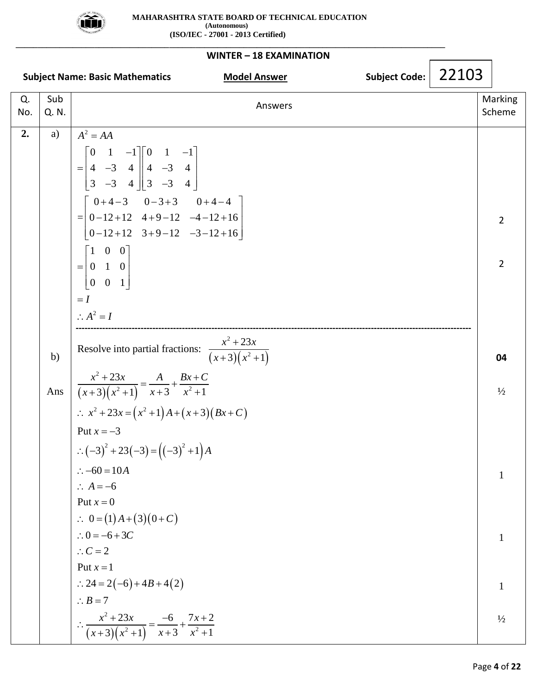

| WINTER - 18 EXAMINATION |              |                                                                                                                                                                                                                                                                     |  |       |                   |  |  |  |
|-------------------------|--------------|---------------------------------------------------------------------------------------------------------------------------------------------------------------------------------------------------------------------------------------------------------------------|--|-------|-------------------|--|--|--|
|                         |              | Subject Code:  <br><b>Subject Name: Basic Mathematics</b><br><b>Model Answer</b>                                                                                                                                                                                    |  | 22103 |                   |  |  |  |
| Q.<br>No.               | Sub<br>Q. N. | Answers                                                                                                                                                                                                                                                             |  |       | Marking<br>Scheme |  |  |  |
| 2.                      | a)           | $A^2 = AA$                                                                                                                                                                                                                                                          |  |       |                   |  |  |  |
|                         |              | $= \begin{bmatrix} 0 & 1 & -1 \\ 4 & -3 & 4 \\ 3 & -3 & 4 \end{bmatrix} \begin{bmatrix} 0 & 1 & -1 \\ 4 & -3 & 4 \\ 3 & -3 & 4 \end{bmatrix}$<br>$=\begin{bmatrix} 0+4-3 & 0-3+3 & 0+4-4 \ 0-12+12 & 4+9-12 & -4-12+16 \ 0-12+12 & 3+9-12 & -3-12+16 \end{bmatrix}$ |  |       |                   |  |  |  |
|                         |              |                                                                                                                                                                                                                                                                     |  |       | $\overline{2}$    |  |  |  |
|                         |              |                                                                                                                                                                                                                                                                     |  |       |                   |  |  |  |
|                         |              | $= \begin{bmatrix} 1 & 0 & 0 \\ 0 & 1 & 0 \\ 0 & 0 & 1 \end{bmatrix}$                                                                                                                                                                                               |  |       | $\overline{2}$    |  |  |  |
|                         |              | $=$ $I$                                                                                                                                                                                                                                                             |  |       |                   |  |  |  |
|                         |              | $\therefore A^2 = I$                                                                                                                                                                                                                                                |  |       |                   |  |  |  |
|                         | b)           | Resolve into partial fractions: $\frac{x^2 + 23x}{(x+3)(x^2+1)}$                                                                                                                                                                                                    |  |       | 04                |  |  |  |
|                         |              | Ans $\frac{x^2+23x}{(x+3)(x^2+1)} = \frac{A}{x+3} + \frac{Bx+C}{x^2+1}$                                                                                                                                                                                             |  |       | $\frac{1}{2}$     |  |  |  |
|                         |              | $\therefore x^2 + 23x = (x^2 + 1)A + (x + 3)(Bx + C)$                                                                                                                                                                                                               |  |       |                   |  |  |  |
|                         |              | Put $x = -3$                                                                                                                                                                                                                                                        |  |       |                   |  |  |  |
|                         |              | $\therefore (-3)^2 + 23(-3) = ((-3)^2 + 1)A$                                                                                                                                                                                                                        |  |       |                   |  |  |  |
|                         |              | $\therefore -60 = 10A$                                                                                                                                                                                                                                              |  |       | $\mathbf{1}$      |  |  |  |
|                         |              | $\therefore A = -6$                                                                                                                                                                                                                                                 |  |       |                   |  |  |  |
|                         |              | Put $x = 0$                                                                                                                                                                                                                                                         |  |       |                   |  |  |  |
|                         |              | $0 = (1)A + (3)(0+C)$                                                                                                                                                                                                                                               |  |       |                   |  |  |  |
|                         |              | $\therefore 0 = -6 + 3C$                                                                                                                                                                                                                                            |  |       | $\mathbf{1}$      |  |  |  |
|                         |              | $\therefore C = 2$                                                                                                                                                                                                                                                  |  |       |                   |  |  |  |
|                         |              | Put $x=1$                                                                                                                                                                                                                                                           |  |       |                   |  |  |  |
|                         |              | $\therefore$ 24 = 2(-6) + 4B + 4(2)                                                                                                                                                                                                                                 |  |       | $\mathbf{1}$      |  |  |  |
|                         |              | $\therefore B = 7$                                                                                                                                                                                                                                                  |  |       |                   |  |  |  |
|                         |              | $\therefore \frac{x^2 + 23x}{(x+3)(x^2+1)} = \frac{-6}{x+3} + \frac{7x+2}{x^2+1}$                                                                                                                                                                                   |  |       | $\frac{1}{2}$     |  |  |  |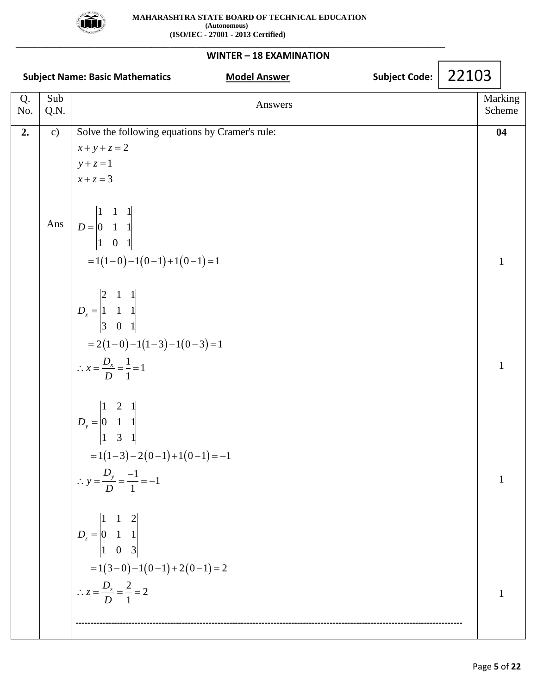

## **WINTER – 18 EXAMINATION Subject Name: Basic Mathematics Model Answer Subject Code: Subject Code: Subject Code:** Q. No. Sub Sub<br>
Q.N. Marking<br>
C.N. Scheme Scheme **2.** c) Ans  $\begin{vmatrix} 1 & 0 & 1 \ 1 & -1(1-0)-1(0-1)+1(0-1) = 1 \end{vmatrix}$  $\begin{vmatrix} 3 & 0 & 1 \ 2 & (1-0)-1 & (1-3)+1 & (0-3) = 1 \end{vmatrix}$  $\begin{vmatrix} 1 & 3 & 1 \ 1 & -3 & -2(0-1) + 1(0-1) = -1 \end{vmatrix}$ Solve the following equations by Cramer's rule:<br> $x + y + z = 2$ Solve the following  $x + y + z = 2$  $y + z = 1$ <br> $x + z = 3$  $x + z = 3$ 1 1 1  $\begin{bmatrix} 1 & 1 & 1 \\ 0 & 1 & 1 \end{bmatrix}$  $D = \begin{vmatrix} 0 & 1 & 1 \\ 1 & 0 & 1 \end{vmatrix}$  $2 \quad 1 \quad 1$  $\begin{bmatrix} 2 & 1 & 1 \\ 1 & 1 & 1 \end{bmatrix}$  $\begin{bmatrix} 1 & 1 & 1 \\ 3 & 0 & 1 \end{bmatrix}$  $\frac{1}{7} = 1$ 1  $1 \quad 2 \quad 1$  $\begin{bmatrix} 1 & 2 & 1 \\ 0 & 1 & 1 \end{bmatrix}$  $\begin{bmatrix} 0 & 1 & 1 \\ 1 & 3 & 1 \end{bmatrix}$  $\frac{1}{-} = -1$ 1  $1 \quad 1 \quad 2$  $\begin{array}{ccc} 1 & 1 & 2 \\ 0 & 1 & 1 \end{array}$  $\begin{array}{ccc} 0 & 1 & 1 \\ 1 & 0 & 3 \end{array}$  $D_x =$  $x = \frac{D_x}{\sqrt{2}}$  $D_{y}$  = *y D*  $D_z =$  $x + y + z = 2$ <br>*y* + *z* = 1  $= 2(1-0)-1(1-3)$ <br>  $\therefore x = \frac{D_x}{D} = \frac{1}{1} = 1$ *y*  $-1(1-3)-2(0-1)+1$ <br>
∴  $y = \frac{D_y}{D} = \frac{-1}{1} = -1$  $\begin{vmatrix} 1 & 0 & 3 \\ 1 & 2 & 0 \end{vmatrix}$ <br>=1(3-0)-1(0-1)+2(0-1)=2  $\frac{2}{1}$  = 2 1  $z = \frac{D_z}{D}$  $= 1(3-0)-1(0-1)$ <br>  $\therefore z = \frac{D_z}{D} = \frac{2}{1} = 2$ **----------------------------------------------------------------------------------------------------------------------------------- 04** 1 1 1 1 22103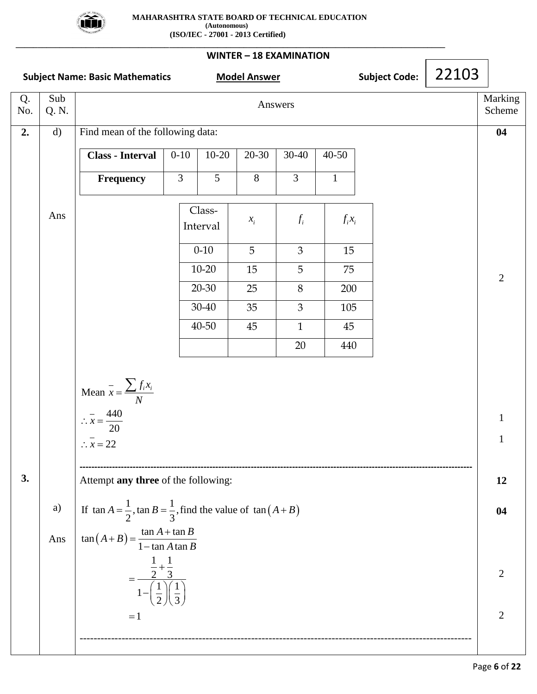

**\_\_\_\_\_\_\_\_\_\_\_\_\_\_\_\_\_\_\_\_\_\_\_\_\_\_\_\_\_\_\_\_\_\_\_\_\_\_\_\_\_\_\_\_\_\_\_\_\_\_\_\_\_\_\_\_\_\_\_\_\_\_\_\_\_\_\_\_\_\_\_\_\_\_\_\_\_\_\_\_\_\_\_\_\_\_\_\_\_\_\_\_\_\_\_\_\_\_**

**WINTER – 18 EXAMINATION Subject Name: Basic Mathematics Model Answer Subject Code: Subject Code:** Q. No. Sub Sub<br>
Q. N. Marking<br>
C. N. Scheme **2. 3.** d) Ans a) Ans Find mean of the following data: **Class - Interval** 0-10 10-20 20-30 30-40 40-50 **Frequency**  $\begin{array}{|c|c|c|c|c|} 3 & 5 & 8 & 3 & 1 \end{array}$ Mean  $\bar{x} = \frac{\sum f_i x_i}{\sum f_i}$ 440 20  $\therefore \overline{x} = 22$ *N*  $\therefore \overline{x} = \frac{4}{7}$  $=\frac{\sum}{}$ **-------------------------------------------------------------------------------------------------------------------------------------** Attempt **any three** of the following: Attempt **any three** of the following:<br>If  $\tan A = \frac{1}{2}$ ,  $\tan B = \frac{1}{3}$ , find the value of  $\tan (A + B)$ If  $\tan A = \frac{1}{2}$ ,  $\tan B = \frac{1}{3}$ , fi<br>  $\tan (A + B) = \frac{\tan A + \tan A}{\tan A + \tan A}$  $rac{1}{2}$ , tan  $B = \frac{1}{3}$  $\frac{\tan A + \tan A}{1 - \tan A \tan A}$  $\frac{1}{\tan A}$  $\frac{1}{-} + \frac{1}{-}$  $\frac{1}{2} + \frac{1}{3}$  $\frac{\frac{1}{2} + \frac{1}{3}}{1 - (\frac{1}{2}) (\frac{1}{2})}$  $\frac{3}{2}$  $\sqrt{\frac{1}{3}}$  $=1$  $A = \frac{1}{2}$ ,  $\tan B = \frac{1}{3}$ , find the value of  $\tan (A + B)$  $A = \frac{1}{2}$ ,  $\tan B = \frac{1}{3}$ , find<br>  $A + B$ ) =  $\frac{\tan A + \tan B}{1 - \tan A \tan B}$  $+\tan B$ <br>*A*  $\tan B$  $(A - \frac{1}{2}, \tan B - \frac{1}{2}) = \frac{\tan A - \tan A}{1 - \tan A}$  $\ddot{}$  $=$  $\frac{\frac{1}{2} + \frac{1}{3}}{\left(\frac{1}{2}\right)\left(\frac{1}{2}\right)}$  $\frac{2}{\left(\frac{1}{2}\right)\left(\frac{1}{3}\right)}$ ---------------------------------------------------------------------------------------------------------------- Class-Interval  $\mathcal{X}_i$  $x_i$   $f_i$  $f_i x_i$  $0-10$  5 3 3 15 10-20 15 5 75 20-30 25 8 200  $30-40$  35  $3$  105 40-50 45 1 45 20 440 **04** 2 1 1 **12 04** 2 2 22103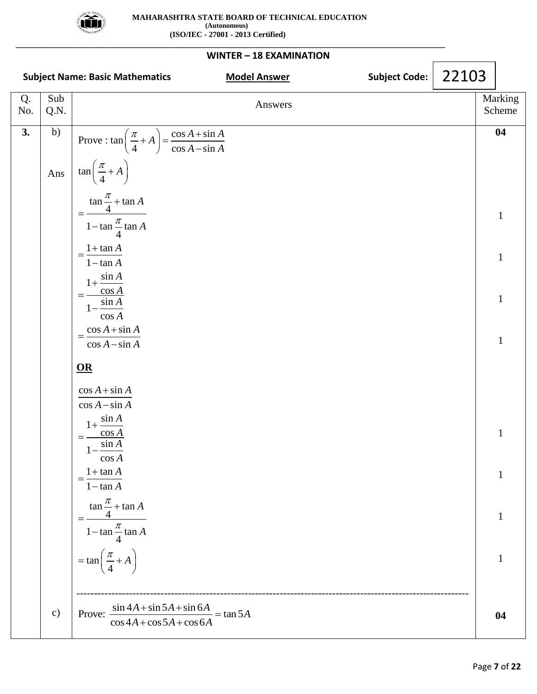

#### **WINTER – 18 EXAMINATION Subject Name: Basic Mathematics Model Answer Subject Code: Subject Code:** Q. No. Sub Sub<br>
Q.N. Answers Marking<br>
Scheme Scheme **3.** b) Ans c) Prove :  $\tan\left(\frac{\pi}{4} + A\right) = \frac{\cos A + \sin A}{\sin A}$  $(\frac{\pi}{4} + A) = \frac{\cos A + \sin A}{\cos A - \sin A}$ tan 4  $\frac{\tan \frac{\pi}{4} + \tan \pi}{1 - \tan \frac{\pi}{4} \tan \pi}$  $\frac{1 + \tan \theta}{\tan \theta}$  $\frac{1 + \tan A}{1 - \tan A}$  $1+\frac{\sin}{\cos}$ cos  $1-\frac{\sin A}{A}$ cos *A*  $\cos A$ <br> $\cos A + \sin A$  $\frac{\cos A + \sin B}{\cos A - \sin B}$  $A$  =  $\frac{\cos A + \sin A}{\sin A}$  $\left(\frac{\pi}{4} + A\right) = \frac{\cos A + \sin A}{\cos A - \sin A}$  $\frac{\pi}{4}$  + A *A A A A A*  $A + \sin A$  $=\frac{\cos A + \sin A}{\cos A - \sin A}$ π π  $\left(\frac{\pi}{4}+A\right)$  $\ddot{}$  $=$ - $=\frac{1+}{1}$  $\overline{a}$  $^{+}$  $=$ -**OR**  $\cos A + \sin A$  $\cos A - \sin A$  $1 + \frac{\sin A}{\cos A}$  $=\frac{\cos A}{\sin A}$  $1-\frac{\sin A}{A}$ cos *A*  $1 + \tan$  $1 - \tan$  $\tan \frac{\pi}{4} + \tan$ 4  $1 - \tan \frac{\pi}{4} \tan$ 4 tan 4 *A A A A*  $=\tan\left(\frac{\pi}{4}+A\right)$ π π  $=\frac{1+}{1}$  $\overline{a}$  $\ddot{}$  $=$ ----------------------------------------------------------------------------------------------------------------- Prove:  $\frac{\sin 4A + \sin 5A + \sin 6A}{\cos 4A + \cos 5A + \cos 6A} = \tan 5A$  $\frac{\sin 4A + \sin 5A + \sin 6A}{\cos 4A + \cos 5A + \cos 6A} = \tan 5A$  $+\sin 5A + \sin 6A$ <br> $+\cos 5A + \cos 6A$ **04** 1 1 1 1 1 1 1 1 **04** 22103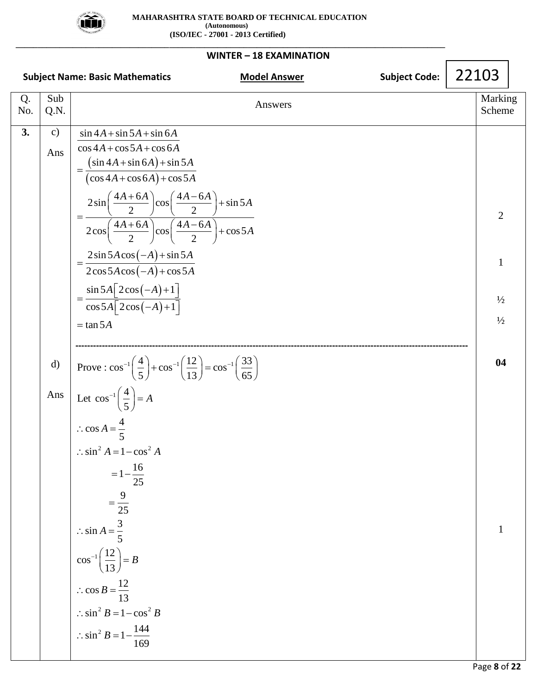

**\_\_\_\_\_\_\_\_\_\_\_\_\_\_\_\_\_\_\_\_\_\_\_\_\_\_\_\_\_\_\_\_\_\_\_\_\_\_\_\_\_\_\_\_\_\_\_\_\_\_\_\_\_\_\_\_\_\_\_\_\_\_\_\_\_\_\_\_\_\_\_\_\_\_\_\_\_\_\_\_\_\_\_\_\_\_\_\_\_\_\_\_\_\_\_\_\_\_**

#### **WINTER – 18 EXAMINATION Subject Name: Basic Mathematics Model Answer Model Answer** Subject Code: Q. No. Sub Sub<br>
Q.N. Answers Marking<br>
Scheme Scheme **3.** c) Ans d) Ans Let  $\cos^{-1}\left(\frac{4}{5}\right)$  $(\sin 4A + \sin 6A)$  $(\cos 4A + \cos 6A)$  $(-A)$  $(-A)$  $2\cos 5A\cos(-A)+\cos$ <br> $\sin 5A\left[2\cos(-A)+1\right]$  $\sin 4A + \sin 5A + \sin 6$  $\frac{\sin 4A + \sin 5A + \sin 6A}{\cos 4A + \cos 5A + \cos 6}$  $4A + \cos 5A + \cos 6A$ <br> $\sin 4A + \sin 6A + \sin 5$  $\frac{\sin 4A + \sin 6A + \sin 5A}{\cos 4A + \cos 6A + \cos 5A}$  $\left(\frac{\cos 4A + \cos 6A + \cos 5A}{2\sin \left(\frac{4A + 6A}{2}\right)\cos \left(\frac{4A - 6A}{2}\right) + \sin 5\right)$  $\frac{+6A}{2}$  $\cosh\left(\frac{4A-}{2}\right)$  $\frac{2 \sin \left(\frac{\pi}{2}\right) \cos \left(\frac{\pi}{2}\right) + \sin \left(\frac{\pi}{2}\right)}{2 \cos \left(\frac{4A + 6A}{2}\right) \cos \left(\frac{4A - 6A}{2}\right) + \cos 5}$  $\left(\frac{+6A}{2}\right)\cos\left(\frac{4A-}{2}\right)$  $2 \sin 5 A \cos(-A) + \sin 5$  $\frac{2\sin 5A\cos(-A) + \sin 5B}{2\cos 5A\cos(-A) + \cos 5A}$ cos  $A + \sin 5A + \sin 6A$  $A + \sin 5A + \sin 6A$ <br>*A* + cos 5*A* + cos 6*A*  $\cos 5A + \cos 6A$ <br> $A + \sin 6A$  +  $\sin 5A$  $A + \sin 6A$  +  $\sin 5A$ <br>*A* +  $\cos 6A$  +  $\cos 5A$  $A + \cos 6A$  +  $\cos 5A$ <br> $\frac{A + 6A}{2}$   $\cos \left( \frac{4A - 6A}{2} \right) + \sin 5A$  $\frac{2}{A + 6A}\left| \cos\left(\frac{4A - 6A}{2}\right) + \cos 5A\right|$  $\begin{array}{c} 2 \end{array}$ <br>*A* cos  $(-A)$  + sin 5*A*  $A\cos(-A) + \sin 5A$ <br> $A\cos(-A) + \cos 5A$  $2\cos 5A\cos(-A) + \cos 5A$ <br>=  $\frac{\sin 5A \left[2\cos(-A)+1\right]}{\sin 5A \left[2\cos(-A)+1\right]}$  $+\sin 5A + \sin 6A$  $\frac{1}{1} \frac{\sin 5A + \sin 6A}{\cos 5A + \cos 6A}$  $\cos 4A + \cos 5A + \cos 6A$ <br>=  $\frac{(\sin 4A + \sin 6A) + \sin 5A}{(4A + \sin 6A + \sin 6A)}$  $+\sin 6A)+\sin 5A$ <br> $+\cos 6A)+\cos 5A$  $(\cos 4A + \cos 6A) + \cos 5A$ <br>=  $\frac{2\sin\left(\frac{4A+6A}{2}\right)\cos\left(\frac{4A-6A}{2}\right) + \sin 5A}{\cos 6A}$  $\left(\frac{2}{2}\right)^{\cos\left(\frac{\pi}{2}\right)+\sin 2\pi}$ <br> $\left(\frac{4A+6A}{2}\right)^{\cos\left(\frac{4A-6A}{2}\right)+\cos 2\pi}$  $=\frac{2\sin 5A\cos(-A)+\sin 5A}{2}$  $\frac{-A}{}$  + sin 5 A<br>- A + cos 5.  $5A[2\cos(-A)+1]$ <br> $5A[2\cos(-A)+1]$ tan 5  $A\left[2\cos(-A)+1\right]$ <br>*A* $\left[2\cos(-A)+1\right]$  $=$  tan 5A **-------------------------------------------------------------------------------------------------------------------------------------**  $1\left(\frac{4}{2}\right) + \cos^{-1}\left(\frac{12}{2}\right) = \cos^{-1}$  $\therefore$  cos  $A = \frac{1}{5}$ <br> $\therefore$  sin<sup>2</sup>  $A = 1 - \cos^2 A$  $\cos^{-1} \left( \frac{12}{12} \right)$  $\therefore$  cos *B* =  $\frac{1}{13}$ <br> $\therefore$  sin<sup>2</sup> *B* =  $1 - \cos^2 B$ 2 Prove :  $\cos^{-1}\left(\frac{4}{5}\right) + \cos^{-1}\left(\frac{12}{13}\right) = \cos^{-1}\left(\frac{33}{65}\right)$  $-1\left(\frac{4}{5}\right) + \cos^{-1}\left(\frac{12}{13}\right) = \cos^{-1}\left(\frac{33}{65}\right)$ 5  $\cos A = \frac{4}{5}$ 5  $=1-\frac{16}{25}$  $=1-\frac{16}{25}$ 9 25  $\sin A = \frac{3}{5}$ 5 13  $\cos B = \frac{12}{12}$ 13  $\sin^2 B = 1 - \frac{144}{169}$  $\left| \frac{4}{5} \right| = A$  $\therefore$  cos  $A = \frac{4}{5}$  $\therefore$  sin A =  $\frac{3}{5}$  $\left|\frac{12}{12}\right| = B$  $\therefore$  cos  $B = \frac{12}{13}$  $\therefore$  sin<sup>2</sup> *B* = 1−Cos *1*<br> $\therefore$  sin<sup>2</sup> *B* = 1− $\frac{144}{160}$  $\left(\frac{4}{5}\right) + \cos^{-1}\left(\frac{12}{13}\right) = \cos^{-1}\left(\frac{33}{65}\right)$  $\left(\frac{4}{5}\right) = A$  $=$  $\frac{12}{13} = B$ 2 1  $\frac{1}{2}$  $\frac{1}{2}$ **04** 1 22103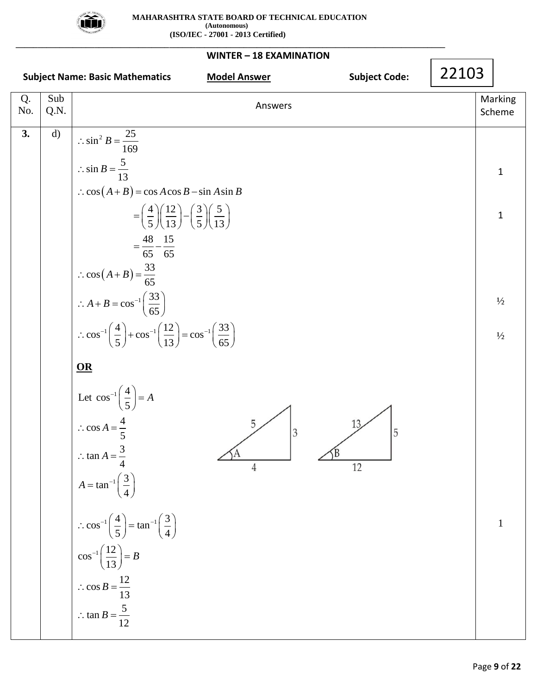

| WINTER - 18 EXAMINATION |              |                                                                                                                                                             |                   |  |  |  |  |  |  |
|-------------------------|--------------|-------------------------------------------------------------------------------------------------------------------------------------------------------------|-------------------|--|--|--|--|--|--|
|                         |              | <b>Subject Code:</b><br><b>Subject Name: Basic Mathematics</b><br><b>Model Answer</b>                                                                       | 22103             |  |  |  |  |  |  |
| Q.<br>No.               | Sub<br>Q.N.  | Answers                                                                                                                                                     | Marking<br>Scheme |  |  |  |  |  |  |
| 3.                      | $\mathbf{d}$ | $\therefore \sin^2 B = \frac{25}{169}$                                                                                                                      |                   |  |  |  |  |  |  |
|                         |              | $\therefore \sin B = \frac{5}{13}$                                                                                                                          | $\mathbf{1}$      |  |  |  |  |  |  |
|                         |              | $\therefore \cos(A+B) = \cos A \cos B - \sin A \sin B$                                                                                                      |                   |  |  |  |  |  |  |
|                         |              | $=\left(\frac{4}{5}\right)\left(\frac{12}{13}\right)-\left(\frac{3}{5}\right)\left(\frac{5}{13}\right)$                                                     | $\mathbf{1}$      |  |  |  |  |  |  |
|                         |              | $=\frac{48}{65}-\frac{15}{65}$                                                                                                                              |                   |  |  |  |  |  |  |
|                         |              | $\therefore \cos\left(A+B\right) = \frac{33}{65}$                                                                                                           |                   |  |  |  |  |  |  |
|                         |              | $\therefore A + B = \cos^{-1}\left(\frac{33}{65}\right)$                                                                                                    | $\frac{1}{2}$     |  |  |  |  |  |  |
|                         |              | $\therefore$ cos <sup>-1</sup> $\left(\frac{4}{5}\right)$ + cos <sup>-1</sup> $\left(\frac{12}{13}\right)$ = cos <sup>-1</sup> $\left(\frac{33}{65}\right)$ | $\frac{1}{2}$     |  |  |  |  |  |  |
|                         |              | OR                                                                                                                                                          |                   |  |  |  |  |  |  |
|                         |              | Let $\cos^{-1}\left(\frac{4}{5}\right) = A$                                                                                                                 |                   |  |  |  |  |  |  |
|                         |              | $\therefore \cos A = \frac{4}{1}$<br>5<br>13 <sub>2</sub><br>5                                                                                              |                   |  |  |  |  |  |  |
|                         |              | $\therefore$ tan $A = \frac{3}{4}$<br>12                                                                                                                    |                   |  |  |  |  |  |  |
|                         |              | $A = \tan^{-1}\left(\frac{3}{4}\right)$                                                                                                                     |                   |  |  |  |  |  |  |
|                         |              | $\therefore \cos^{-1}\left(\frac{4}{5}\right) = \tan^{-1}\left(\frac{3}{4}\right)$                                                                          | $\mathbf{1}$      |  |  |  |  |  |  |
|                         |              | $\cos^{-1}\left(\frac{12}{13}\right) = B$                                                                                                                   |                   |  |  |  |  |  |  |
|                         |              | $\therefore \cos B = \frac{12}{13}$                                                                                                                         |                   |  |  |  |  |  |  |
|                         |              | $\therefore$ tan $B = \frac{5}{12}$                                                                                                                         |                   |  |  |  |  |  |  |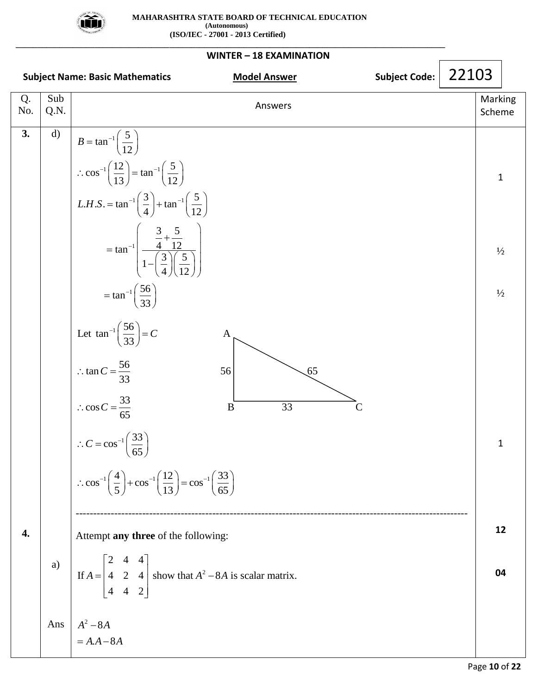

| WINTER - 18 EXAMINATION |              |                                                                                                                            |       |                   |  |  |  |  |  |
|-------------------------|--------------|----------------------------------------------------------------------------------------------------------------------------|-------|-------------------|--|--|--|--|--|
|                         |              | <b>Subject Code:</b><br><b>Model Answer</b><br><b>Subject Name: Basic Mathematics</b>                                      | 22103 |                   |  |  |  |  |  |
| Q.<br>No.               | Sub<br>Q.N.  | Answers                                                                                                                    |       | Marking<br>Scheme |  |  |  |  |  |
| 3.                      | $\mathbf{d}$ | $B = \tan^{-1} \left( \frac{5}{12} \right)$                                                                                |       |                   |  |  |  |  |  |
|                         |              | $\therefore \cos^{-1}\left(\frac{12}{13}\right) = \tan^{-1}\left(\frac{5}{12}\right)$                                      |       | $\mathbf{1}$      |  |  |  |  |  |
|                         |              | $L.H.S. = \tan^{-1}\left(\frac{3}{4}\right) + \tan^{-1}\left(\frac{5}{12}\right)$                                          |       |                   |  |  |  |  |  |
|                         |              | $= \tan^{-1} \left( \frac{\frac{3}{4} + \frac{5}{12}}{1 - \left( \frac{3}{4} \right) \left( \frac{5}{12} \right)} \right)$ |       | $\frac{1}{2}$     |  |  |  |  |  |
|                         |              | $= \tan^{-1} \left( \frac{56}{33} \right)$                                                                                 |       | $\frac{1}{2}$     |  |  |  |  |  |
|                         |              | Let $\tan^{-1} \left( \frac{56}{33} \right) = C$<br>A                                                                      |       |                   |  |  |  |  |  |
|                         |              | $\therefore \tan C = \frac{56}{33}$<br>56<br>65                                                                            |       |                   |  |  |  |  |  |
|                         |              | $\therefore \cos C = \frac{33}{65}$<br>$\overline{33}$<br>B<br>$\mathsf{C}$                                                |       |                   |  |  |  |  |  |
|                         |              | $\therefore C = \cos^{-1}\left(\frac{33}{55}\right)$<br>$\overline{65}$                                                    |       | 1                 |  |  |  |  |  |
|                         |              | ∴ $\cos^{-1}\left(\frac{4}{5}\right) + \cos^{-1}\left(\frac{12}{13}\right) = \cos^{-1}\left(\frac{33}{65}\right)$          |       |                   |  |  |  |  |  |
| 4.                      |              | Attempt any three of the following:                                                                                        |       | 12                |  |  |  |  |  |
|                         | a)           | If $A = \begin{bmatrix} 2 & 4 & 4 \\ 4 & 2 & 4 \\ 4 & 4 & 2 \end{bmatrix}$ show that $A^2 - 8A$ is scalar matrix.          |       | 04                |  |  |  |  |  |
|                         | Ans          | $A^2 - 8A$<br>$= A.A - 8A$                                                                                                 |       |                   |  |  |  |  |  |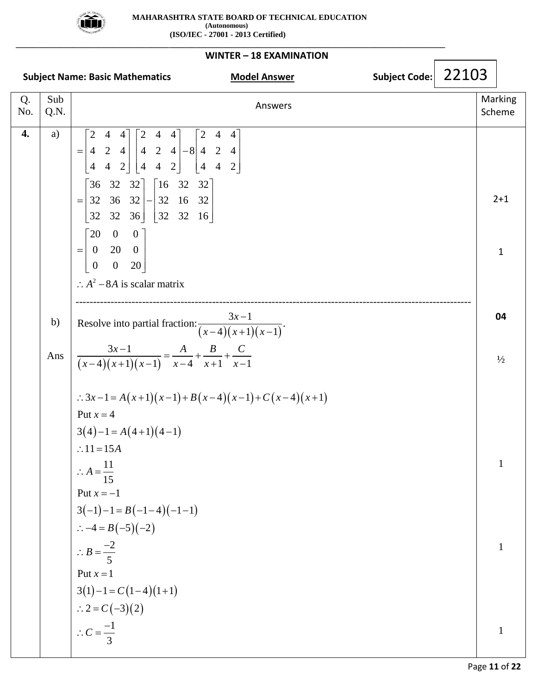

| WINTER - 18 EXAMINATION |             |                                                                                                                                                                                                                                                                                                                                                                                                                                                        |                     |               |       |                         |  |  |  |
|-------------------------|-------------|--------------------------------------------------------------------------------------------------------------------------------------------------------------------------------------------------------------------------------------------------------------------------------------------------------------------------------------------------------------------------------------------------------------------------------------------------------|---------------------|---------------|-------|-------------------------|--|--|--|
|                         |             | <b>Subject Name: Basic Mathematics</b>                                                                                                                                                                                                                                                                                                                                                                                                                 | <b>Model Answer</b> | Subject Code: | 22103 |                         |  |  |  |
| Q.<br>No.               | Sub<br>Q.N. |                                                                                                                                                                                                                                                                                                                                                                                                                                                        | Answers             |               |       | Marking<br>Scheme       |  |  |  |
| $\overline{4}$ .        | a)          | $=\begin{bmatrix} 2 & 4 & 4 \\ 4 & 2 & 4 \\ 4 & 4 & 2 \end{bmatrix} \begin{bmatrix} 2 & 4 & 4 \\ 4 & 2 & 4 \\ 4 & 4 & 2 \end{bmatrix} - 8 \begin{bmatrix} 2 & 4 & 4 \\ 4 & 2 & 4 \\ 4 & 4 & 2 \end{bmatrix}$<br>$=\begin{bmatrix} 36 & 32 & 32 \\ 32 & 36 & 32 \\ 32 & 32 & 36 \end{bmatrix} - \begin{bmatrix} 16 & 32 & 32 \\ 32 & 16 & 32 \\ 32 & 32 & 16 \end{bmatrix}$<br>$= \begin{bmatrix} 20 & 0 & 0 \\ 0 & 20 & 0 \\ 0 & 0 & 20 \end{bmatrix}$ |                     |               |       | $2 + 1$<br>$\mathbf{1}$ |  |  |  |
|                         | b)<br>Ans   | $\therefore$ A <sup>2</sup> – 8A is scalar matrix<br>Resolve into partial fraction: $\frac{3x-1}{(x-4)(x+1)(x-1)}$ .<br>$\frac{3x-1}{(x-4)(x+1)(x-1)} = \frac{A}{x-4} + \frac{B}{x+1} + \frac{C}{x-1}$                                                                                                                                                                                                                                                 |                     |               |       | 04<br>$\frac{1}{2}$     |  |  |  |
|                         |             | $\therefore 3x-1 = A(x+1)(x-1) + B(x-4)(x-1) + C(x-4)(x+1)$<br>Put $x = 4$<br>$3(4)-1 = A(4+1)(4-1)$<br>$\therefore$ 11=15A<br>$\therefore A = \frac{11}{15}$<br>Put $x = -1$                                                                                                                                                                                                                                                                          |                     |               |       | 1                       |  |  |  |
|                         |             | $3(-1)-1 = B(-1-4)(-1-1)$<br>$\therefore -4 = B(-5)(-2)$<br>$\therefore B = \frac{-2}{5}$<br>Put $x = 1$<br>$3(1)-1=C(1-4)(1+1)$                                                                                                                                                                                                                                                                                                                       |                     |               |       |                         |  |  |  |
|                         |             | $\therefore 2 = C(-3)(2)$<br>$\therefore C = \frac{-1}{2}$                                                                                                                                                                                                                                                                                                                                                                                             |                     |               |       | 1                       |  |  |  |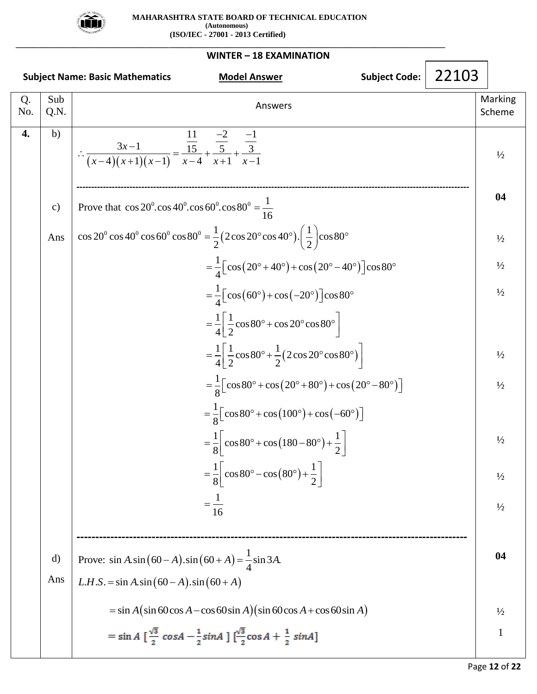

| WINTER - 18 EXAMINATION |                                                                                                |                                                                                                                                                      |  |  |                   |  |  |  |  |
|-------------------------|------------------------------------------------------------------------------------------------|------------------------------------------------------------------------------------------------------------------------------------------------------|--|--|-------------------|--|--|--|--|
|                         | 22103<br><b>Subject Code:</b><br><b>Subject Name: Basic Mathematics</b><br><b>Model Answer</b> |                                                                                                                                                      |  |  |                   |  |  |  |  |
| Q.<br>No.               | Sub<br>Q.N.                                                                                    | Answers                                                                                                                                              |  |  | Marking<br>Scheme |  |  |  |  |
| 4.                      | b)                                                                                             | $\therefore \frac{3x-1}{(x-4)(x+1)(x-1)} = \frac{\frac{11}{15}}{x-4} + \frac{\frac{-2}{5}}{x+1} + \frac{\frac{-1}{3}}{x-1}$                          |  |  | $\frac{1}{2}$     |  |  |  |  |
|                         | $\mathbf{c})$                                                                                  | Prove that $\cos 20^\circ \cdot \cos 40^\circ \cdot \cos 60^\circ \cdot \cos 80^\circ = \frac{1}{16}$                                                |  |  | 04                |  |  |  |  |
|                         | Ans                                                                                            | $\cos 20^\circ \cos 40^\circ \cos 60^\circ \cos 80^\circ = \frac{1}{2} (2 \cos 20^\circ \cos 40^\circ) \cdot \left(\frac{1}{2}\right) \cos 80^\circ$ |  |  | $\frac{1}{2}$     |  |  |  |  |
|                         |                                                                                                | $=\frac{1}{4}\left[\cos(20^\circ+40^\circ)+\cos(20^\circ-40^\circ)\right]\cos 80^\circ$                                                              |  |  | $\frac{1}{2}$     |  |  |  |  |
|                         |                                                                                                | $=\frac{1}{4}\left[\cos(60^\circ)+\cos(-20^\circ)\right]\cos 80^\circ$                                                                               |  |  | $\frac{1}{2}$     |  |  |  |  |
|                         |                                                                                                | $=\frac{1}{4}\left \frac{1}{2}\cos 80^\circ + \cos 20^\circ \cos 80^\circ\right $                                                                    |  |  |                   |  |  |  |  |
|                         |                                                                                                | $=\frac{1}{4}\left[\frac{1}{2}\cos 80^\circ + \frac{1}{2}(2\cos 20^\circ \cos 80^\circ)\right]$                                                      |  |  | $\frac{1}{2}$     |  |  |  |  |
|                         |                                                                                                | $=\frac{1}{8}$ [cos 80° + cos (20° + 80°) + cos (20° – 80°)]                                                                                         |  |  | $\frac{1}{2}$     |  |  |  |  |
|                         |                                                                                                | $=\frac{1}{8}$ [cos 80° + cos (100°) + cos (-60°)]                                                                                                   |  |  |                   |  |  |  |  |
|                         |                                                                                                | $=\frac{1}{8} \left[\cos 80^\circ + \cos (180 - 80^\circ) + \frac{1}{2}\right]$                                                                      |  |  | $\frac{1}{2}$     |  |  |  |  |
|                         |                                                                                                | $=\frac{1}{8}$ cos 80° – cos $(80^{\circ}) + \frac{1}{2}$                                                                                            |  |  | $\frac{1}{2}$     |  |  |  |  |
|                         |                                                                                                | $=\frac{1}{16}$                                                                                                                                      |  |  | $\frac{1}{2}$     |  |  |  |  |
|                         |                                                                                                |                                                                                                                                                      |  |  |                   |  |  |  |  |
|                         | d)                                                                                             | Prove: $\sin A.\sin(60 - A).\sin(60 + A) = \frac{1}{4}\sin 3A$ .                                                                                     |  |  | 04                |  |  |  |  |
|                         | Ans                                                                                            | L.H.S. = $\sin A.\sin(60 - A).\sin(60 + A)$                                                                                                          |  |  |                   |  |  |  |  |
|                         |                                                                                                | $=\sin A(\sin 60 \cos A - \cos 60 \sin A)(\sin 60 \cos A + \cos 60 \sin A)$                                                                          |  |  | $\frac{1}{2}$     |  |  |  |  |
|                         |                                                                                                | $= \sin A \left[ \frac{\sqrt{3}}{2} \cos A - \frac{1}{2} \sin A \right] \left[ \frac{\sqrt{3}}{2} \cos A + \frac{1}{2} \sin A \right]$               |  |  | 1                 |  |  |  |  |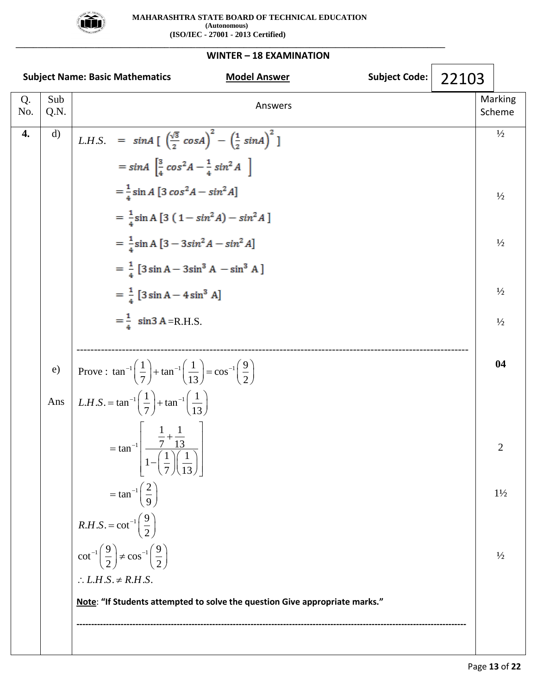

**\_\_\_\_\_\_\_\_\_\_\_\_\_\_\_\_\_\_\_\_\_\_\_\_\_\_\_\_\_\_\_\_\_\_\_\_\_\_\_\_\_\_\_\_\_\_\_\_\_\_\_\_\_\_\_\_\_\_\_\_\_\_\_\_\_\_\_\_\_\_\_\_\_\_\_\_\_\_\_\_\_\_\_\_\_\_\_\_\_\_\_\_\_\_\_\_\_\_**

|           |              | <b>Subject Code:</b><br><b>Subject Name: Basic Mathematics</b><br><b>Model Answer</b>                                                                                                                                                                                                                                                                                                                                                                                                              | 22103 |                                                                  |
|-----------|--------------|----------------------------------------------------------------------------------------------------------------------------------------------------------------------------------------------------------------------------------------------------------------------------------------------------------------------------------------------------------------------------------------------------------------------------------------------------------------------------------------------------|-------|------------------------------------------------------------------|
| Q.<br>No. | Sub<br>Q.N.  | Answers                                                                                                                                                                                                                                                                                                                                                                                                                                                                                            |       | Marking<br>Scheme                                                |
| 4.        | $\mathbf{d}$ | <i>L.H.S.</i> = $\sin A \left[ \left( \frac{\sqrt{3}}{2} \cos A \right)^2 - \left( \frac{1}{2} \sin A \right)^2 \right]$<br>$= \sin A \left[ \frac{3}{4} \cos^2 A - \frac{1}{4} \sin^2 A \right]$<br>$=\frac{1}{4}$ sin A [3 cos <sup>2</sup> A – sin <sup>2</sup> A]<br>$=\frac{1}{4}\sin A [3 (1-sin^2 A)-sin^2 A]$<br>$=\frac{1}{4}$ sin A $[3 - 3sin^2 A - sin^2 A]$<br>$=\frac{1}{4}$ [3 sin A – 3sin <sup>3</sup> A – sin <sup>3</sup> A]<br>$=\frac{1}{4}$ [3 sin A – 4 sin <sup>3</sup> A] |       | $\frac{1}{2}$<br>$\frac{1}{2}$<br>$\frac{1}{2}$<br>$\frac{1}{2}$ |
|           |              | $=\frac{1}{4}$ sin3 A = R.H.S.                                                                                                                                                                                                                                                                                                                                                                                                                                                                     |       | $\frac{1}{2}$                                                    |
|           | e)<br>Ans    | Prove: $\tan^{-1}\left(\frac{1}{7}\right) + \tan^{-1}\left(\frac{1}{13}\right) = \cos^{-1}\left(\frac{9}{2}\right)$<br><i>L.H.S.</i> = tan <sup>-1</sup> $\left(\frac{1}{7}\right)$ + tan <sup>-1</sup> $\left(\frac{1}{13}\right)$                                                                                                                                                                                                                                                                |       | 04                                                               |
|           |              | = $\tan^{-1}$ $\left( \frac{\frac{1}{7} + \frac{1}{13}}{1 - \left( \frac{1}{7} \right) \left( \frac{1}{13} \right)} \right)$                                                                                                                                                                                                                                                                                                                                                                       |       | 2                                                                |
|           |              | $=$ tan <sup>-1</sup> $\left(\frac{2}{9}\right)$<br>$R.H.S. = \cot^{-1}\left(\frac{9}{2}\right)$                                                                                                                                                                                                                                                                                                                                                                                                   |       | $1\frac{1}{2}$                                                   |
|           |              | $\cot^{-1}\left(\frac{9}{2}\right) \neq \cos^{-1}\left(\frac{9}{2}\right)$<br>$\therefore$ L.H.S. $\neq$ R.H.S.<br>Note: "If Students attempted to solve the question Give appropriate marks."                                                                                                                                                                                                                                                                                                     |       | $\frac{1}{2}$                                                    |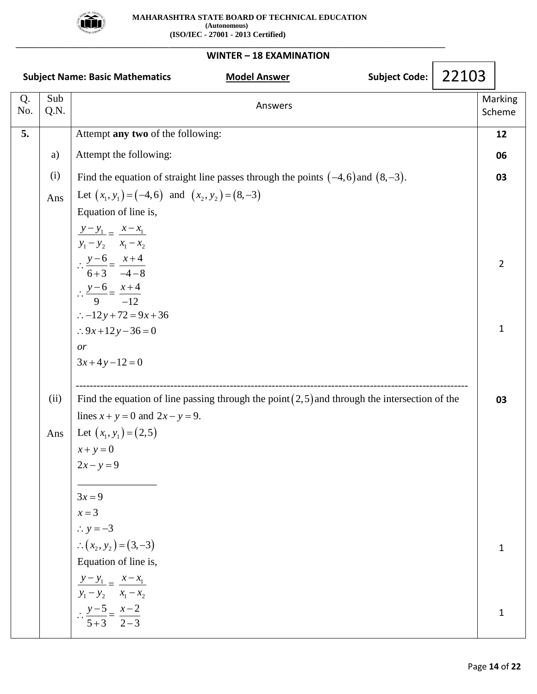

| WINTER - 18 EXAMINATION |                                                                                                |                                                                                                                                                     |  |                   |  |  |  |  |  |
|-------------------------|------------------------------------------------------------------------------------------------|-----------------------------------------------------------------------------------------------------------------------------------------------------|--|-------------------|--|--|--|--|--|
|                         | 22103<br><b>Subject Code:</b><br><b>Subject Name: Basic Mathematics</b><br><b>Model Answer</b> |                                                                                                                                                     |  |                   |  |  |  |  |  |
| Q.<br>No.               | Sub<br>Q.N.                                                                                    | Answers                                                                                                                                             |  | Marking<br>Scheme |  |  |  |  |  |
| 5.                      |                                                                                                | Attempt any two of the following:                                                                                                                   |  | 12                |  |  |  |  |  |
|                         | a)                                                                                             | Attempt the following:                                                                                                                              |  | 06                |  |  |  |  |  |
|                         | (i)                                                                                            | Find the equation of straight line passes through the points $(-4,6)$ and $(8,-3)$ .                                                                |  | 03                |  |  |  |  |  |
|                         | Ans                                                                                            | Let $(x_1, y_1) = (-4, 6)$ and $(x_2, y_2) = (8, -3)$<br>Equation of line is,<br>$\frac{y-y_1}{y_1} = \frac{x-x_1}{x_1}$<br>$y_1 - y_2$ $x_1 - x_2$ |  |                   |  |  |  |  |  |
|                         |                                                                                                | $\therefore \frac{y-6}{6+3} = \frac{x+4}{-4-8}$<br>$\therefore \frac{y-6}{9} = \frac{x+4}{-12}$<br>$\therefore -12y + 72 = 9x + 36$                 |  | $\overline{2}$    |  |  |  |  |  |
|                         |                                                                                                | : $.9x+12y-36=0$<br>or<br>$3x+4y-12=0$                                                                                                              |  | 1                 |  |  |  |  |  |
|                         | (ii)                                                                                           | Find the equation of line passing through the point $(2,5)$ and through the intersection of the<br>lines $x + y = 0$ and $2x - y = 9$ .             |  | 03                |  |  |  |  |  |
|                         | Ans                                                                                            | Let $(x_1, y_1) = (2, 5)$<br>$x + y = 0$<br>$2x - y = 9$<br>$3x = 9$<br>$x=3$                                                                       |  |                   |  |  |  |  |  |
|                         |                                                                                                | $\therefore$ y = -3<br>$\therefore (x_2, y_2) = (3, -3)$<br>Equation of line is,<br>$\frac{y-y_1}{x}-\frac{x-x_1}{x-x_1}$                           |  | 1                 |  |  |  |  |  |
|                         |                                                                                                | $y_1 - y_2$ $x_1 - x_2$<br>$\therefore \frac{y-5}{5+3} = \frac{x-2}{2-3}$                                                                           |  | $\mathbf{1}$      |  |  |  |  |  |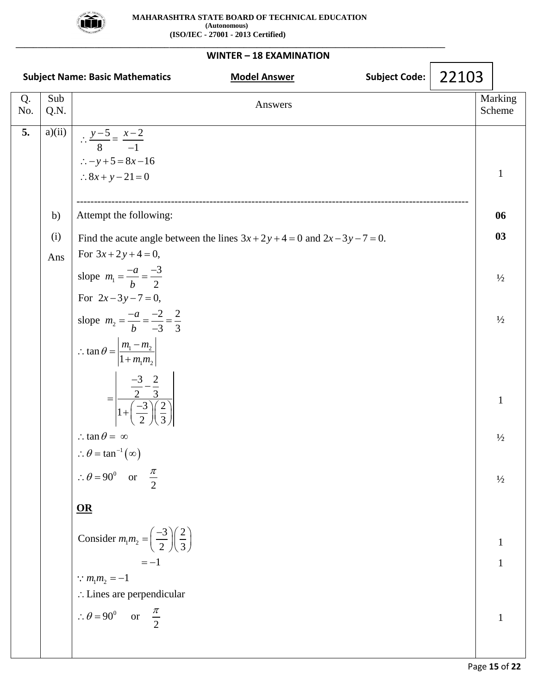

#### **WINTER – 18 EXAMINATION Subject Name: Basic Mathematics Model Answer Subject Code: Subject Code:** Q. No. Sub Q.N. Answers Marking Marking Scheme 5. a) $(ii)$ b) (i) Ans  $\frac{-5}{8} = \frac{x-2}{-1}$  $\therefore -y + 5 = 8x - 16$  $\therefore 8x + y - 21 = 0$  $\therefore \frac{y-5}{2} = \frac{x-2}{2}$  $\overline{a}$ ---------------------------------------------------------------------------------------------------------------- Attempt the following:  $\theta = \tan^{-1}(\infty)$ 1 slope  $m_1 = \frac{\overline{a}}{b} = \frac{\overline{a}}{2}$ <br>
For  $2x - 3y - 7 = 0$ ,<br>
slope  $m_2 = \frac{-a}{b} = \frac{-2}{2} = \frac{2}{3}$ b<br> $n_1 - m_2$  $\tan \theta = \left| \frac{m_1 - m_2}{1 + m_1 m_2} \right|$ Attempt the following:<br>Find the acute angle between the lines  $3x + 2y + 4 = 0$  and  $2x - 3y - 7 = 0$ . Find the acute angle<br>For  $3x + 2y + 4 = 0$ , slope  $m_1 = \frac{-a}{1} = \frac{-3}{2}$ 2 slope  $m_1 = \frac{-a}{b} = \frac{-3}{2}$ <br>For  $2x - 3y - 7 = 0$ ,  $\frac{2}{3} = \frac{2}{3}$ 1  $\left| \frac{m_2}{n_1 m_2} \right|$ <br> $\left| \frac{3}{2} - \frac{2}{3} \right|$  $\frac{m_1m_2}{\frac{2}{2}-\frac{2}{3}}$  $\frac{\frac{-3}{2} - \frac{2}{3}}{1 + \left(\frac{-3}{2}\right)\left(\frac{2}{3}\right)}$  $\frac{2}{3}$   $\frac{-2}{3}$   $\left(\frac{2}{3}\right)$   $\left(\frac{2}{3}\right)$  $tan \theta =$  $\theta = 90$ *x* + 2 *y* + 4 = 0 and 2*x* - 3*y* pt the  $acx + 2y$ *b*  $m_1 = \frac{1}{2}$ <br> $x - 3y$  $m_2 = \frac{-a}{a}$ *b*  $=\frac{-a}{b}$  =  $m_1 - m$  $\frac{m_1}{m_1 m_2} =$  $\theta$  $\therefore$  tan  $\theta = \infty$  $+2y+4=0$  and  $2x-3y-7=0$ . t the following:<br>e acute angle between<br>+2y + 4 = 0, te angle between  $1 + 4 = 0$ ,<br> $\frac{-a}{1} = \frac{-3}{2}$ cute angle betwee<br>  $2y + 4 = 0$ ,<br>  $=\frac{-a}{b} = \frac{-3}{2}$  $a_1 = \frac{-a}{b} = \frac{-3}{2}$ <br>-3y-7=0,  $=\frac{-b}{b} = \frac{-2}{2}$ <br>  $3y-7=0,$ <br>  $=\frac{-a}{b} = \frac{-2}{-3} = \frac{2}{3}$ slope  $m_2 = \frac{-a}{b} = \frac{-2}{-3}$ <br>  $\therefore \tan \theta = \left| \frac{m_1 - m_2}{1 + m_1 m_2} \right|$  $\frac{-3}{2}$  $=$  $\begin{array}{c|c}\n-3 & 2 \\
\hline\n2 & 3 \\
\hline\n-3 & 2 \\
\hline\n-2 & 2\n\end{array}$  $\frac{-3}{2} - \frac{2}{3}$ <br>+ $\left(\frac{-3}{2}\right)\left(\frac{2}{3}\right)$  $= \frac{1}{1 + \left(\frac{-3}{2}\right)\left(\frac{2}{3}\right)}$ <br> $\therefore \tan \theta = \infty$ ∴ tan  $\theta = \infty$ <br>
∴  $\theta = \tan^{-1}(\infty)$ ..  $\tan \theta = \infty$ <br>
∴  $\theta = \tan^{-1}(\infty)$ <br>
∴  $\theta = 90^\circ$  or or 2 π **OR** Consider  $m_1 m_2 = \left(\frac{-3}{2}\right) \left(\frac{2}{3}\right)$  $m_1 m_2 = -1$ 90<sup>0</sup> or  $\frac{\pi}{2}$  $\frac{3}{2}$  $\sqrt{\frac{2}{3}}$  $\frac{1}{1} = -1$ Lines are perpendicular  $m_1 m_2 = \left(\frac{-3}{2}\right)\left(\frac{2}{2}\right)$  $\therefore \theta = 90^{\circ}$  or  $\frac{\pi}{2}$  $=\left(\frac{-3}{2}\right)\left(\frac{2}{3}\right)$ 1 **06 03**  $\frac{1}{2}$  $\frac{1}{2}$ 1  $\frac{1}{2}$  $\frac{1}{2}$ 1 1 1 22103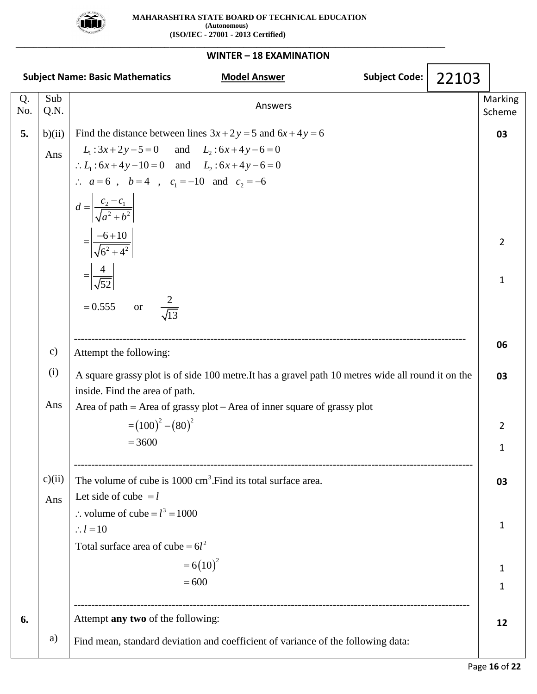

|           |               | <b>Subject Name: Basic Mathematics</b><br><b>Subject Code:</b><br>22103<br><b>Model Answer</b>                                                                                                                                                                                                |                   |
|-----------|---------------|-----------------------------------------------------------------------------------------------------------------------------------------------------------------------------------------------------------------------------------------------------------------------------------------------|-------------------|
| Q.<br>No. | Sub<br>Q.N.   | Answers                                                                                                                                                                                                                                                                                       | Marking<br>Scheme |
| 5.        | b)(ii)<br>Ans | Find the distance between lines $3x + 2y = 5$ and $6x + 4y = 6$<br>$L_1$ : 3x + 2y - 5 = 0 and $L_2$ : 6x + 4y - 6 = 0<br>$\therefore L_1: 6x+4y-10=0$ and $L_2: 6x+4y-6=0$<br>$\therefore$ $a=6$ , $b=4$ , $c_1=-10$ and $c_2=-6$<br>$d = \left  \frac{c_2 - c_1}{\sqrt{a^2 + b^2}} \right $ | 03                |
|           |               | $=\left \frac{-6+10}{\sqrt{6^2+4^2}}\right $<br>$=\left \frac{4}{\sqrt{52}}\right $<br>$rac{2}{\sqrt{13}}$<br>$= 0.555$ or                                                                                                                                                                    | 2<br>1            |
|           | $\mathbf{c})$ | Attempt the following:                                                                                                                                                                                                                                                                        | 06                |
|           | (i)<br>Ans    | A square grassy plot is of side 100 metre. It has a gravel path 10 metres wide all round it on the<br>inside. Find the area of path.<br>Area of path = Area of grassy plot - Area of inner square of grassy plot                                                                              | 03                |
|           |               | $=(100)^{2}-(80)^{2}$<br>$= 3600$                                                                                                                                                                                                                                                             | 2<br>1            |
|           | c)(ii)<br>Ans | The volume of cube is 1000 cm <sup>3</sup> . Find its total surface area.<br>Let side of cube $=l$<br>: volume of cube = $l^3$ = 1000                                                                                                                                                         | 03                |
|           |               | $\therefore l = 10$<br>Total surface area of cube = $6l^2$                                                                                                                                                                                                                                    | 1                 |
|           |               | $=6(10)^2$<br>$= 600$<br>---------------------------------                                                                                                                                                                                                                                    | 1<br>1            |
| 6.        |               | Attempt any two of the following:                                                                                                                                                                                                                                                             | 12                |
|           | a)            | Find mean, standard deviation and coefficient of variance of the following data:                                                                                                                                                                                                              |                   |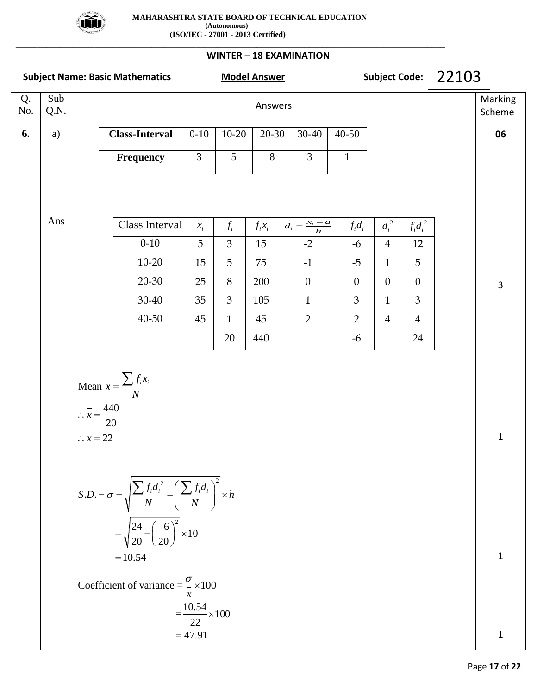

**\_\_\_\_\_\_\_\_\_\_\_\_\_\_\_\_\_\_\_\_\_\_\_\_\_\_\_\_\_\_\_\_\_\_\_\_\_\_\_\_\_\_\_\_\_\_\_\_\_\_\_\_\_\_\_\_\_\_\_\_\_\_\_\_\_\_\_\_\_\_\_\_\_\_\_\_\_\_\_\_\_\_\_\_\_\_\_\_\_\_\_\_\_\_\_\_\_\_**

| <b>Subject Name: Basic Mathematics</b> |             |                                                                              |                                                                                                                                                                                                                                            | Subject Code:<br><b>Model Answer</b>            |                |           |                           |  |                | 22103          |                |  |                   |
|----------------------------------------|-------------|------------------------------------------------------------------------------|--------------------------------------------------------------------------------------------------------------------------------------------------------------------------------------------------------------------------------------------|-------------------------------------------------|----------------|-----------|---------------------------|--|----------------|----------------|----------------|--|-------------------|
| Q.<br>No.                              | Sub<br>Q.N. |                                                                              |                                                                                                                                                                                                                                            |                                                 |                | Answers   |                           |  |                |                |                |  | Marking<br>Scheme |
| 6.                                     | a)          |                                                                              | Class-Interval                                                                                                                                                                                                                             | $0 - 10$                                        | $10 - 20$      | $20 - 30$ | $30 - 40$                 |  | $40 - 50$      |                |                |  | 06                |
|                                        |             |                                                                              | <b>Frequency</b>                                                                                                                                                                                                                           | $\overline{3}$                                  | $\overline{5}$ | $8\,$     | 3                         |  | $\mathbf{1}$   |                |                |  |                   |
|                                        |             |                                                                              |                                                                                                                                                                                                                                            |                                                 |                |           |                           |  |                |                |                |  |                   |
|                                        | Ans         |                                                                              |                                                                                                                                                                                                                                            |                                                 |                |           |                           |  |                |                |                |  |                   |
|                                        |             |                                                                              | Class Interval                                                                                                                                                                                                                             | $x_i$                                           | $f_i$          | $f_i x_i$ | $d_i = \frac{x_i - a}{h}$ |  | $f_i d_i$      | $d_i^2$        | $f_i d_i^2$    |  |                   |
|                                        |             |                                                                              | $0 - 10$                                                                                                                                                                                                                                   | 5                                               | $\mathfrak{Z}$ | 15        | $-2$                      |  | $-6$           | $\overline{4}$ | 12             |  |                   |
|                                        |             |                                                                              | $10 - 20$                                                                                                                                                                                                                                  | 15                                              | 5              | 75        | $-1$                      |  | $-5$           | $\mathbf{1}$   | 5              |  |                   |
|                                        |             |                                                                              | $20 - 30$                                                                                                                                                                                                                                  | 25                                              | 8              | 200       | $\overline{0}$            |  | $\overline{0}$ | $\overline{0}$ | $\theta$       |  | 3                 |
|                                        |             |                                                                              | 30-40                                                                                                                                                                                                                                      | 35                                              | 3              | 105       | $\mathbf{1}$              |  | 3              | $\mathbf{1}$   | 3              |  |                   |
|                                        |             |                                                                              | $40 - 50$                                                                                                                                                                                                                                  | 45                                              | $\mathbf{1}$   | 45        | $\overline{2}$            |  | $\overline{2}$ | $\overline{4}$ | $\overline{4}$ |  |                   |
|                                        |             |                                                                              |                                                                                                                                                                                                                                            |                                                 | 20             | 440       |                           |  | $-6$           |                | 24             |  |                   |
|                                        |             | $\therefore \overline{x} = \frac{440}{20}$<br>$\therefore \overline{x} = 22$ | Mean $\bar{x} = \frac{\sum f_i x_i}{N}$                                                                                                                                                                                                    |                                                 |                |           |                           |  |                |                |                |  | $\mathbf{1}$      |
|                                        |             |                                                                              | $S.D. = \sigma = \sqrt{\frac{\sum f_i d_i^2}{N} - \left(\frac{\sum f_i d_i}{N}\right)^2} \times h$<br>$=\sqrt{\frac{24}{20}-\left(\frac{-6}{20}\right)^2}\times 10$<br>$=10.54$<br>Coefficient of variance = $\frac{\sigma}{\sigma}$ × 100 | $\mathcal{X}$<br>$=\frac{10.54}{22} \times 100$ |                |           |                           |  |                |                |                |  | 1                 |
|                                        |             |                                                                              |                                                                                                                                                                                                                                            | $= 47.91$                                       |                |           |                           |  |                |                |                |  | 1                 |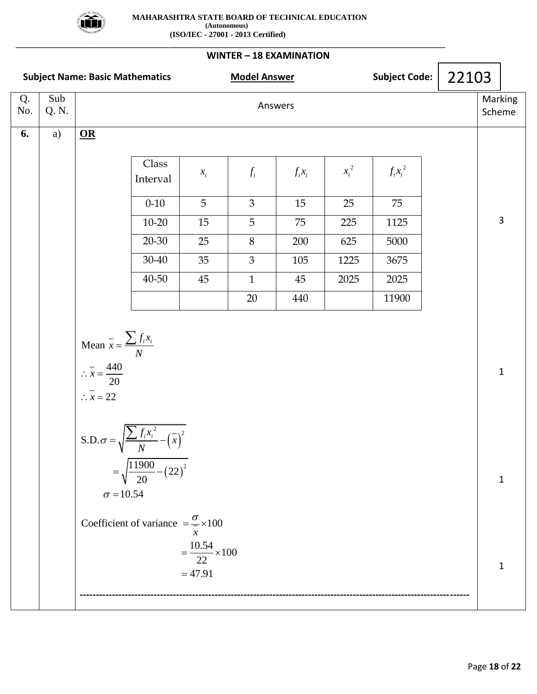

**\_\_\_\_\_\_\_\_\_\_\_\_\_\_\_\_\_\_\_\_\_\_\_\_\_\_\_\_\_\_\_\_\_\_\_\_\_\_\_\_\_\_\_\_\_\_\_\_\_\_\_\_\_\_\_\_\_\_\_\_\_\_\_\_\_\_\_\_\_\_\_\_\_\_\_\_\_\_\_\_\_\_\_\_\_\_\_\_\_\_\_\_\_\_\_\_\_\_**

| <b>Subject Name: Basic Mathematics</b> |              |                                                                                                                         |                                                                                                                                                                        | <b>Model Answer</b>                                   |                | Subject Code: $\vert 22103 \vert$ |         |             |                   |              |  |
|----------------------------------------|--------------|-------------------------------------------------------------------------------------------------------------------------|------------------------------------------------------------------------------------------------------------------------------------------------------------------------|-------------------------------------------------------|----------------|-----------------------------------|---------|-------------|-------------------|--------------|--|
| Q.<br>No.                              | Sub<br>Q. N. | Answers                                                                                                                 |                                                                                                                                                                        |                                                       |                |                                   |         |             | Marking<br>Scheme |              |  |
| 6.                                     | a)           | $\underline{\mathbf{OR}}$                                                                                               |                                                                                                                                                                        |                                                       |                |                                   |         |             |                   |              |  |
|                                        |              |                                                                                                                         | Class<br>Interval                                                                                                                                                      | $x_i$                                                 | $f_i$          | $f_i x_i$                         | $x_i^2$ | $f_i x_i^2$ |                   |              |  |
|                                        |              |                                                                                                                         | $0 - 10$                                                                                                                                                               | 5                                                     | $\mathfrak{Z}$ | 15                                | 25      | 75          |                   |              |  |
|                                        |              |                                                                                                                         | $10 - 20$                                                                                                                                                              | $15\,$                                                | 5              | 75                                | 225     | 1125        |                   | 3            |  |
|                                        |              |                                                                                                                         | $20 - 30$                                                                                                                                                              | 25                                                    | $8\,$          | 200                               | 625     | 5000        |                   |              |  |
|                                        |              |                                                                                                                         | $30 - 40$                                                                                                                                                              | 35                                                    | $\mathfrak{Z}$ | 105                               | 1225    | 3675        |                   |              |  |
|                                        |              |                                                                                                                         | 40-50                                                                                                                                                                  | 45                                                    | $\mathbf{1}$   | 45                                | 2025    | 2025        |                   |              |  |
|                                        |              |                                                                                                                         |                                                                                                                                                                        |                                                       | 20             | 440                               |         | 11900       |                   |              |  |
|                                        |              | Mean $\bar{x} = \frac{\sum f_i x_i}{N}$<br>$\therefore \overline{x} = \frac{440}{20}$<br>$\therefore \overline{x} = 22$ |                                                                                                                                                                        |                                                       |                |                                   |         |             |                   | $\mathbf{1}$ |  |
|                                        |              | $\sigma$ = 10.54                                                                                                        | S.D. $\sigma = \sqrt{\frac{\sum f_i x_i^2}{N} - (\overline{x})^2}$<br>$=\sqrt{\frac{11900}{20}-(22)^2}$<br>Coefficient of variance $=\frac{\sigma}{\sigma} \times 100$ |                                                       |                |                                   |         |             |                   | 1            |  |
|                                        |              |                                                                                                                         |                                                                                                                                                                        | $\chi$<br>$=\frac{10.54}{22} \times 100$<br>$= 47.91$ |                |                                   |         |             |                   | 1            |  |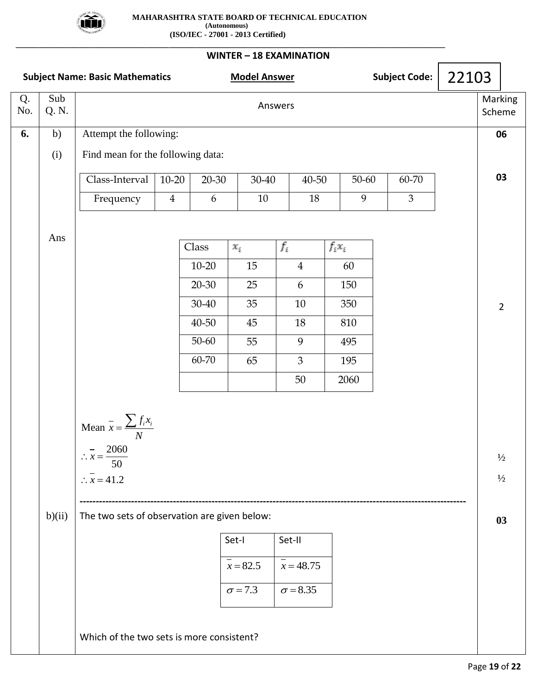

**\_\_\_\_\_\_\_\_\_\_\_\_\_\_\_\_\_\_\_\_\_\_\_\_\_\_\_\_\_\_\_\_\_\_\_\_\_\_\_\_\_\_\_\_\_\_\_\_\_\_\_\_\_\_\_\_\_\_\_\_\_\_\_\_\_\_\_\_\_\_\_\_\_\_\_\_\_\_\_\_\_\_\_\_\_\_\_\_\_\_\_\_\_\_\_\_\_\_**

| <b>Subject Name: Basic Mathematics</b> |             |                                                                                                                                                                                                                                            |  | <b>Model Answer</b> |        |                |          |       | Subject Code:  | 22103                                |                   |  |  |
|----------------------------------------|-------------|--------------------------------------------------------------------------------------------------------------------------------------------------------------------------------------------------------------------------------------------|--|---------------------|--------|----------------|----------|-------|----------------|--------------------------------------|-------------------|--|--|
| Q.<br>No.                              | Sub<br>Q.N. |                                                                                                                                                                                                                                            |  | Answers             |        |                |          |       |                |                                      | Marking<br>Scheme |  |  |
| 6.                                     | b)          | Attempt the following:                                                                                                                                                                                                                     |  |                     |        |                |          |       |                |                                      | 06                |  |  |
|                                        | (i)         | Find mean for the following data:                                                                                                                                                                                                          |  |                     |        |                |          |       |                |                                      |                   |  |  |
|                                        |             | $\overline{\text{Class-Interval}}$<br>$10 - 20$                                                                                                                                                                                            |  | $20 - 30$           | 30-40  | 40-50          |          | 50-60 | 60-70          |                                      | 03                |  |  |
|                                        |             | Frequency<br>$\overline{4}$                                                                                                                                                                                                                |  | 6                   | $10\,$ | $18\,$         |          | 9     | $\mathfrak{Z}$ |                                      |                   |  |  |
|                                        |             |                                                                                                                                                                                                                                            |  |                     |        |                |          |       |                |                                      |                   |  |  |
|                                        | Ans         |                                                                                                                                                                                                                                            |  | Class               | $x_i$  | $f_i$          | $f_ix_i$ |       |                |                                      |                   |  |  |
|                                        |             |                                                                                                                                                                                                                                            |  | $10 - 20$           | 15     | $\overline{4}$ |          | 60    |                |                                      |                   |  |  |
|                                        |             |                                                                                                                                                                                                                                            |  | $20 - 30$           | 25     | 6              |          | 150   |                |                                      |                   |  |  |
|                                        |             |                                                                                                                                                                                                                                            |  | 30-40               | 35     | $10\,$         |          | 350   |                |                                      | $\overline{2}$    |  |  |
|                                        |             |                                                                                                                                                                                                                                            |  | $40 - 50$           | $45\,$ | 18             |          | 810   |                |                                      |                   |  |  |
|                                        |             |                                                                                                                                                                                                                                            |  | $50 - 60$           | 55     | 9              |          | 495   |                |                                      |                   |  |  |
|                                        |             |                                                                                                                                                                                                                                            |  | 60-70               | 65     | $\mathfrak{Z}$ |          | 195   |                |                                      |                   |  |  |
|                                        |             |                                                                                                                                                                                                                                            |  |                     |        | 50             |          | 2060  |                |                                      |                   |  |  |
|                                        | b)(ii)      | Mean $\bar{x} = \frac{\sum f_i x_i}{N}$<br>$-2060$<br>$\therefore x =$<br>50<br>$\therefore x = 41.2$<br>The two sets of observation are given below:<br>Set-I<br>Set-II<br>$x = 82.5$<br>$x = 48.75$<br>$\sigma$ = 7.3<br>$\sigma = 8.35$ |  |                     |        |                |          |       |                | $\frac{1}{2}$<br>$\frac{1}{2}$<br>03 |                   |  |  |
|                                        |             | Which of the two sets is more consistent?                                                                                                                                                                                                  |  |                     |        |                |          |       |                |                                      |                   |  |  |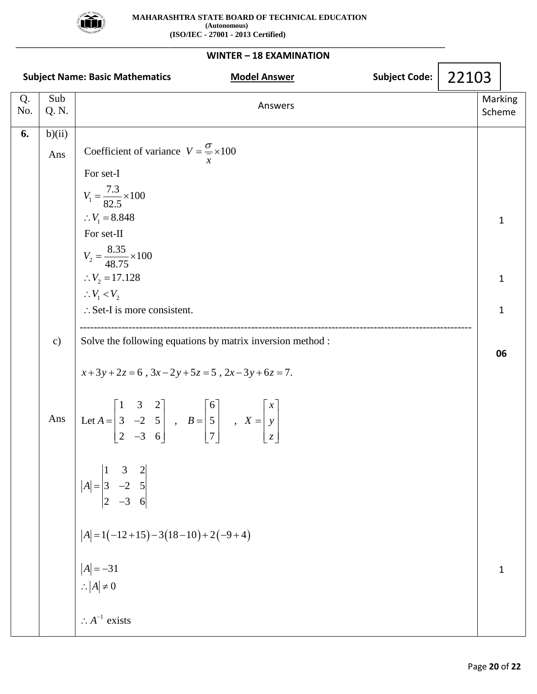

| WINTER - 18 EXAMINATION |               |                                                                                                                                                                                   |       |                   |    |  |  |  |  |
|-------------------------|---------------|-----------------------------------------------------------------------------------------------------------------------------------------------------------------------------------|-------|-------------------|----|--|--|--|--|
|                         |               | <b>Subject Code:</b><br><b>Subject Name: Basic Mathematics</b><br><b>Model Answer</b>                                                                                             | 22103 |                   |    |  |  |  |  |
| Q.<br>No.               | Sub<br>Q. N.  | Answers                                                                                                                                                                           |       | Marking<br>Scheme |    |  |  |  |  |
| 6.                      | b)(ii)        |                                                                                                                                                                                   |       |                   |    |  |  |  |  |
|                         | Ans           | Coefficient of variance $V = \frac{\sigma}{\sigma} \times 100$                                                                                                                    |       |                   |    |  |  |  |  |
|                         |               | For set-I                                                                                                                                                                         |       |                   |    |  |  |  |  |
|                         |               | $V_1 = \frac{7.3}{82.5} \times 100$                                                                                                                                               |       |                   |    |  |  |  |  |
|                         |               | $\therefore V_1 = 8.848$                                                                                                                                                          |       |                   | 1  |  |  |  |  |
|                         |               | For set-II                                                                                                                                                                        |       |                   |    |  |  |  |  |
|                         |               | $V_2 = \frac{8.35}{48.75} \times 100$                                                                                                                                             |       |                   |    |  |  |  |  |
|                         |               | $V_2 = 17.128$                                                                                                                                                                    |       | 1                 |    |  |  |  |  |
|                         |               | $\therefore V_1 < V_2$                                                                                                                                                            |       |                   |    |  |  |  |  |
|                         |               | $\therefore$ Set-I is more consistent.                                                                                                                                            |       |                   | 1  |  |  |  |  |
|                         | $\mathbf{c})$ | Solve the following equations by matrix inversion method :                                                                                                                        |       |                   |    |  |  |  |  |
|                         |               | $x+3y+2z=6$ , $3x-2y+5z=5$ , $2x-3y+6z=7$ .                                                                                                                                       |       |                   | 06 |  |  |  |  |
|                         | Ans           | Let $A = \begin{bmatrix} 1 & 3 & 2 \\ 3 & -2 & 5 \\ 2 & -3 & 6 \end{bmatrix}$ , $B = \begin{bmatrix} 6 \\ 5 \\ 7 \end{bmatrix}$ , $X = \begin{bmatrix} x \\ y \\ z \end{bmatrix}$ |       |                   |    |  |  |  |  |
|                         |               | $ A  = \begin{vmatrix} 1 & 3 & 2 \\ 3 & -2 & 5 \\ 2 & -3 & 6 \end{vmatrix}$                                                                                                       |       |                   |    |  |  |  |  |
|                         |               | $ A  = 1(-12+15) - 3(18-10) + 2(-9+4)$                                                                                                                                            |       |                   |    |  |  |  |  |
|                         |               |                                                                                                                                                                                   |       |                   | 1  |  |  |  |  |
|                         |               | $ A  = -31$<br>$\therefore  A  \neq 0$                                                                                                                                            |       |                   |    |  |  |  |  |
|                         |               |                                                                                                                                                                                   |       |                   |    |  |  |  |  |
|                         |               | $\therefore A^{-1}$ exists                                                                                                                                                        |       |                   |    |  |  |  |  |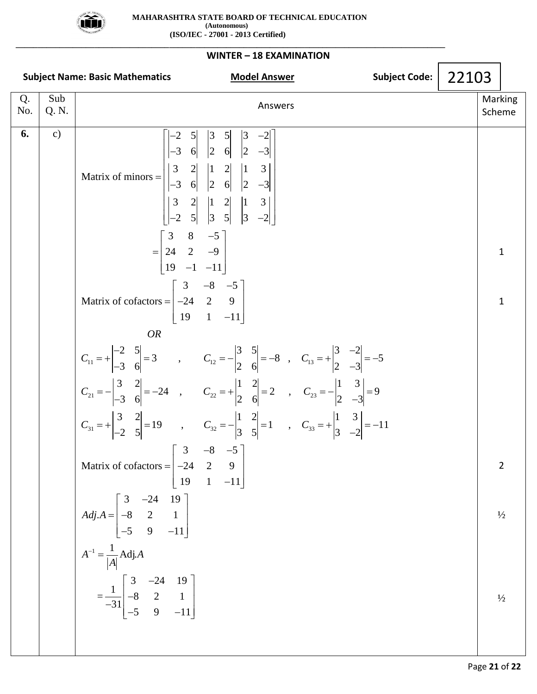

**\_\_\_\_\_\_\_\_\_\_\_\_\_\_\_\_\_\_\_\_\_\_\_\_\_\_\_\_\_\_\_\_\_\_\_\_\_\_\_\_\_\_\_\_\_\_\_\_\_\_\_\_\_\_\_\_\_\_\_\_\_\_\_\_\_\_\_\_\_\_\_\_\_\_\_\_\_\_\_\_\_\_\_\_\_\_\_\_\_\_\_\_\_\_\_\_\_\_**

### **WINTER – 18 EXAMINATION Subject Name: Basic Mathematics Model Answer Subject Code: Subject Code:** Q. No. Sub Q. N. Answers Marking Scheme Q. Sub<br> **6.** c) <br> **6.** c) <br>  $\begin{bmatrix} -2 & 5 & 3 & 5 & 3 & -2 \ 2 & 2 & 2 & 3 & -2 \end{bmatrix}$  $\begin{array}{c|ccccc}\n2 & 5 & 3 & 5 & 3 & -2 \\
3 & 6 & 2 & 6 & 2 & -3\n\end{array}$  $\begin{bmatrix} -2 & 5 \\ -3 & 6 \end{bmatrix}$   $\begin{bmatrix} 3 & 5 \\ 2 & 6 \end{bmatrix}$   $\begin{bmatrix} 3 & -2 \\ 2 & -3 \end{bmatrix}$ <br>3 2 1 2 1 3 Matrix of minors 3 6 2 6 2 -3<br>
3 2 1 2 1 3<br>
3 6 2 6 2 -3  $\begin{bmatrix} 3 & 2 \\ -3 & 6 \end{bmatrix}$   $\begin{bmatrix} 1 & 2 \\ 2 & 6 \end{bmatrix}$   $\begin{bmatrix} 1 & 3 \\ 2 & -3 \end{bmatrix}$ <br>  $\begin{bmatrix} 3 & 2 \\ 2 & 1 \end{bmatrix}$   $\begin{bmatrix} 1 & 2 \\ 2 & 1 \end{bmatrix}$   $\begin{bmatrix} 1 & 3 \\ 2 & 3 \end{bmatrix}$ 3 6 2 6 2 -3<br>
3 2 1 2 1 3<br>
2 5 3 5 3 -2  $\begin{vmatrix} 3 & 2 \\ -2 & 5 \end{vmatrix}$   $\begin{vmatrix} 1 \\ 3 \end{vmatrix}$  $\begin{bmatrix} -2 & 5 & 3 \\ 3 & 8 & -5 \\ 24 & 2 & -9 \end{bmatrix}$  $\begin{bmatrix} 3 & 8 & -5 \\ 24 & 2 & -9 \\ 19 & -1 & -11 \end{bmatrix}$  $\begin{bmatrix} 2 & -9 \\ -1 & -11 \end{bmatrix}$ <br>3 -8 -5  $\begin{bmatrix} 19 & -1 & -11 \end{bmatrix}$ <br>Matrix of cofactors  $= \begin{bmatrix} 3 & -8 & -5 \\ -24 & 2 & 9 \end{bmatrix}$  $\begin{bmatrix} 3 & -8 & -5 \\ -24 & 2 & 9 \\ 19 & 1 & -11 \end{bmatrix}$ Answers<br> $\begin{bmatrix} -2 & 5 \end{bmatrix} \begin{bmatrix} 3 & 5 \end{bmatrix} \begin{bmatrix} 3 & -2 \end{bmatrix}$ Ariswers<br>  $\begin{bmatrix} -2 & 5 & 3 & 5 & 3 & -2 \\ -3 & 6 & 2 & 6 & 2 & -3 \end{bmatrix}$  $=$  $\begin{array}{c|ccccc}\n-3 & 6 & 2 & 6 & 2 & -3 \\
3 & 2 & 1 & 2 & 1 & 3 \\
-3 & 6 & 2 & 6 & 2 & -3\n\end{array}$  $\begin{bmatrix} -3 & 6 & 2 & 6 & 2 & -3 \\ 3 & 2 & 1 & 2 & 1 & 3 \\ -2 & 5 & 3 & 5 & 3 & -2 \end{bmatrix}$  $\begin{bmatrix} 3 & 2 & 1 & 2 \\ -2 & 5 & 3 & 5 \end{bmatrix}$   $\begin{bmatrix} 1 & 3 \\ 3 & -2 \end{bmatrix}$  $\begin{bmatrix} -2 & 5 & 3 & 5 & 3 & -2 \end{bmatrix}$ <br>=  $\begin{bmatrix} 3 & 8 & -5 \\ 24 & 2 & -9 \end{bmatrix}$  $\begin{bmatrix} 3 & 8 & -5 \\ 24 & 2 & -9 \\ 19 & -1 & -11 \end{bmatrix}$  $\begin{bmatrix} 4 & 2 & -9 \\ 9 & -1 & -11 \end{bmatrix}$  $\begin{bmatrix} 19 & -1 & -11 \end{bmatrix}$ <br>=  $\begin{bmatrix} 3 & -8 & -5 \\ -24 & 2 & 9 \end{bmatrix}$  $\begin{bmatrix} 3 & -8 & -5 \\ -24 & 2 & 9 \\ 19 & 1 & -11 \end{bmatrix}$  $OR$ <br>  $\begin{bmatrix} 19 & 1 & -11 \end{bmatrix}$ <br>  $OR$ <br>  $\begin{bmatrix} 1 & -11 \end{bmatrix}$ <br>  $\begin{bmatrix} 2 & 5 \ -3 & 6 \end{bmatrix} = 3$ ,  $C_{12} = -\begin{bmatrix} 3 & 5 \ 2 & 6 \end{bmatrix} = -8$ ,  $C_{13} = +\begin{bmatrix} 3 & -2 \ 2 & -3 \end{bmatrix}$  $C_{11} = + \begin{vmatrix} 2 & 2 \ -3 & 6 \end{vmatrix} = 3$ ,  $C_{12} = - \begin{vmatrix} 2 & 6 \ 2 & 6 \end{vmatrix} = -8$ ,  $C_{13} = + \begin{vmatrix} 2 & 2 \ 2 & -3 \end{vmatrix} = -3$ <br>  $C_{21} = - \begin{vmatrix} 3 & 2 \ -3 & 6 \end{vmatrix} = -24$ ,  $C_{22} = + \begin{vmatrix} 1 & 2 \ 2 & 6 \end{vmatrix} = 2$ ,  $C_{23} = - \begin{vmatrix} 1 & 3 \ 2 & -3 \end{vmatrix} = 9$  $C_{21} = -\begin{vmatrix} 3 & 2 \ -3 & 6 \end{vmatrix} = -24$ ,  $C_{22} = +\begin{vmatrix} 2 & 2 \ 2 & 6 \end{vmatrix} = 2$ ,  $C_{23} = -\begin{vmatrix} 2 & 2 \ 2 & -3 \end{vmatrix} = 9$ <br>  $C_{31} = +\begin{vmatrix} 3 & 2 \ -2 & 5 \end{vmatrix} = 19$ ,  $C_{32} = -\begin{vmatrix} 1 & 2 \ 3 & 5 \end{vmatrix} = 1$ ,  $C_{33} = +\begin{vmatrix} 1 & 3 \ 3 & -2 \end{vmatrix} = -1$  $C_{12} = -\begin{vmatrix} 3 & 5 \\ 2 & 6 \end{vmatrix} = -8$ ,  $C_{13} = +\begin{vmatrix} 3 & -2 \\ 2 & -3 \end{vmatrix} = -5$ OR<br>  $\begin{array}{ccc} 2 & 5 \\ 3 & 6 \end{array}$   $\begin{array}{ccc} 2 & 5 \\ -3 & 5 \end{array}$   $\begin{array}{ccc} 2 & 5 \\ -3 & 6 \end{array}$   $\begin{array}{ccc} -2 & 5 \\ -8 & 5 & 5 \end{array}$   $\begin{array}{ccc} -8 & 5 & 5 \\ -1 & 5 & 5 \end{array}$  $\begin{vmatrix} -2 & 5 \\ -3 & 6 \end{vmatrix} = 3$ ,  $C_{12} = -\begin{vmatrix} 3 & 5 \\ 2 & 6 \end{vmatrix} = -8$ ,  $C_{13} = +\begin{vmatrix} 3 & -2 \\ 2 & -3 \end{vmatrix}$ <br>  $\begin{vmatrix} 3 & 2 \\ 2 & -24 \end{vmatrix} = -24$ ,  $C_{22} = +\begin{vmatrix} 1 & 2 \\ 2 & -12 \end{vmatrix} = 2$ ,  $C_{23} = -\begin{vmatrix} 1 & 3 \\ 2 & 2 \end{vmatrix}$ 3 6  $\begin{vmatrix} 3 & 6 \\ 3 & 2 \\ 3 & 6 \end{vmatrix} = -24$ ,  $C_{22} = + \begin{vmatrix} 1 & 2 \\ 2 & 6 \end{vmatrix} = 2$ ,  $C_{23} = - \begin{vmatrix} 1 & 3 \\ 2 & -3 \end{vmatrix}$  $\begin{vmatrix} 3 & 2 \\ -3 & 6 \end{vmatrix} = -24$ ,  $C_{22} = + \begin{vmatrix} 1 & 2 \\ 2 & 6 \end{vmatrix} = 2$ ,  $C_{23} = - \begin{vmatrix} 1 & 3 \\ 2 & -1 \end{vmatrix}$ <br>  $\begin{vmatrix} 3 & 2 \\ 2 & -1 \end{vmatrix} = 19$ ,  $C_{32} = - \begin{vmatrix} 1 & 2 \\ 2 & -1 \end{vmatrix} = 1$ ,  $C_{33} = + \begin{vmatrix} 1 & 3 \\ 2 & -1 \end{vmatrix}$ 3 6  $\begin{vmatrix} 2 & 6 \ 2 & 5 \end{vmatrix}$  -3  $\begin{vmatrix} 2 & -3 \ 2 & 5 \end{vmatrix}$  -3  $\begin{vmatrix} 2 & -3 \ 2 & 5 \end{vmatrix}$  -3  $\begin{vmatrix} 2 & -3 \ 2 & 5 \end{vmatrix}$  -3  $\begin{vmatrix} 2 & -3 \ 3 & 5 \end{vmatrix}$  -1  $\begin{vmatrix} 2 & 3 \ 3 & -2 \end{vmatrix}$  -2 Matr *OR OR*<br>  $C_{11} = + \begin{vmatrix} -2 & 5 \\ -3 & 6 \end{vmatrix} = 3$ ,  $C_{12} = - \begin{vmatrix} 3 & 5 \\ 2 & 6 \end{vmatrix} = -8$ , *C*  $C_{11} = + \begin{vmatrix} 2 & 3 \ -3 & 6 \end{vmatrix} = 3$ ,  $C_{12} = - \begin{vmatrix} 3 & 2 \ 2 & 6 \end{vmatrix} = -8$ ,  $C_{13} = + \begin{vmatrix} 2 & 2 \ 2 & -3 \end{vmatrix} = -5$ <br>  $C_{21} = - \begin{vmatrix} 3 & 2 \ -3 & 6 \end{vmatrix} = -24$ ,  $C_{22} = + \begin{vmatrix} 1 & 2 \ 2 & 6 \end{vmatrix} = 2$ ,  $C_{23} = - \begin{vmatrix} 1 & 3 \ 2 & -3 \end{vmatrix} = 9$  $C_{21} = -\begin{vmatrix} 3 & 2 \ -3 & 6 \end{vmatrix} = -24$ ,  $C_{22} = +\begin{vmatrix} 1 & 2 \ 2 & 6 \end{vmatrix} = 2$ ,  $C_{23} = -\begin{vmatrix} 1 & 3 \ 2 & -3 \end{vmatrix} = 9$ <br>  $C_{31} = +\begin{vmatrix} 3 & 2 \ -2 & 5 \end{vmatrix} = 19$ ,  $C_{32} = -\begin{vmatrix} 1 & 2 \ 3 & 5 \end{vmatrix} = 1$ ,  $C_{33} = +\begin{vmatrix} 1 & 3 \ 3 & -2 \end{vmatrix} = -1$  $\begin{bmatrix} 19 & 1 & -11 \end{bmatrix}$ <br>
OR<br>  $\begin{bmatrix} -2 & 5 \end{bmatrix} = 3$ ,  $C_{12} = -\begin{bmatrix} 3 & 5 \end{bmatrix} = -8$ ,  $C_{13} = +\begin{bmatrix} 3 & -2 \end{bmatrix} = -5$ OR<br>=  $+ \begin{vmatrix} -2 & 5 \\ -3 & 6 \end{vmatrix} = 3$ ,  $C_{12} = - \begin{vmatrix} 3 & 5 \\ 2 & 6 \end{vmatrix} = -8$ ,  $C_{13} = + \begin{vmatrix} 3 & -2 \\ 2 & -3 \end{vmatrix} = -5$ OR<br>
-2  $5\vert$  = 3 ,  $C_{12} = -\vert 3 \frac{5}{2} \vert = -8$ ,  $C_{13} = + \vert 3 \frac{-2}{2} \vert = -5$  $\begin{vmatrix} -3 & 6 \end{vmatrix}$   $-3$   $\begin{vmatrix} -3 & 6 \end{vmatrix}$   $-24$   $\begin{vmatrix} 3 & 2 \ -3 & 6 \end{vmatrix}$   $-24$   $\begin{vmatrix} 2 & 6 \end{vmatrix}$   $-24$   $\begin{vmatrix} 2 & 6 \ 2 & 6 \end{vmatrix}$   $-21$   $\begin{vmatrix} 2 & 6 \ 2 & 6 \end{vmatrix}$   $-22$   $\begin{vmatrix} 2 & 6 \ 2 & 6 \end{vmatrix}$   $-21$   $\begin{vmatrix} 2 & 3 \ 2 &$  $\begin{vmatrix} -3 & 6 \end{vmatrix}$  - 2 1 ,  $C_{22}$  -  $\begin{vmatrix} 2 & 6 \end{vmatrix}$  - 2 ,  $C_{23}$  -  $\begin{vmatrix} 2 & -3 \end{vmatrix}$  - 2<br>  $\begin{vmatrix} 3 & 2 \ -2 & 5 \end{vmatrix}$  = 19 ,  $C_{32}$  =  $\begin{vmatrix} 1 & 2 \ 3 & 5 \end{vmatrix}$  = 1 ,  $C_{33}$  =  $\begin{vmatrix} 1 & 3 \ 3 & -2 \end{vmatrix}$  = -11  $1 = \frac{1}{1}$  Adj. ,  $C_{32} = -\begin{vmatrix} 1 & 2 \\ 3 & 5 \end{vmatrix} = 1$ ,<br>  $\begin{bmatrix} 3 & -8 & -5 \\ 3 & 2 & -3 \end{bmatrix}$  $\begin{bmatrix} -2 & 5 \end{bmatrix}$   $\begin{bmatrix} 3 & -8 & -5 \end{bmatrix}$ <br>ix of cofactors =  $\begin{bmatrix} 3 & -8 & -5 \ -24 & 2 & 9 \end{bmatrix}$  $\begin{bmatrix} 3 & -8 & -5 \\ -24 & 2 & 9 \\ 19 & 1 & -11 \end{bmatrix}$  $\cot \left( \frac{\cot \theta}{\cos \theta} \right) = -24$  19  $A = \begin{bmatrix} 3 & -24 & 19 \\ -8 & 2 & 1 \end{bmatrix}$  $\begin{bmatrix} 3 & -24 & 19 \\ 8 & 2 & 1 \\ 5 & 9 & -11 \end{bmatrix}$  $\frac{1}{|A|}$ Adj.A<br>  $\begin{bmatrix} 3 & -24 & 19 \\ 0 & 2 & 1 \end{bmatrix}$  $\begin{bmatrix} A \\ B \end{bmatrix}$  -3<br>=  $\frac{1}{-31}$  -8 2 1  $\begin{bmatrix} 3 & -24 & 19 \\ 8 & 2 & 1 \\ 5 & 9 & -11 \end{bmatrix}$ *Adj A Adj.A* =  $\begin{bmatrix} 6 \\ -5 \end{bmatrix}$ <br>*A*<sup>-1</sup> =  $\frac{1}{|A|}$  Adj.*A A*  $^{-1}$  = ,  $C_{32} = -\begin{vmatrix} 3 & 5 \end{vmatrix} = 1$ ,<br>=  $\begin{bmatrix} 3 & -8 & -5 \\ -24 & 2 & 9 \end{bmatrix}$  $\begin{bmatrix} 3 & -8 & -5 \\ -24 & 2 & 9 \\ 19 & 1 & -11 \end{bmatrix}$  $f \text{ cofactors} = \begin{bmatrix} -24 & 2 & 9 \\ 19 & 1 & -1 \end{bmatrix}$  $\begin{bmatrix} 3 & -24 & 19 \\ -8 & 2 & 1 \end{bmatrix}$  $\begin{bmatrix} 3 & -24 & 19 \\ -8 & 2 & 1 \\ -5 & 9 & -11 \end{bmatrix}$ Adj.A<br> $\begin{bmatrix} 3 & -24 & 19 \end{bmatrix}$ Adj.A<br>  $\begin{bmatrix} 3 & -24 & 19 \\ -8 & 2 & 1 \end{bmatrix}$ - $\begin{bmatrix} 3 & -24 & 19 \\ -8 & 2 & 1 \\ -5 & 9 & -11 \end{bmatrix}$ 1 1 2  $\frac{1}{2}$  $\frac{1}{2}$ 22103